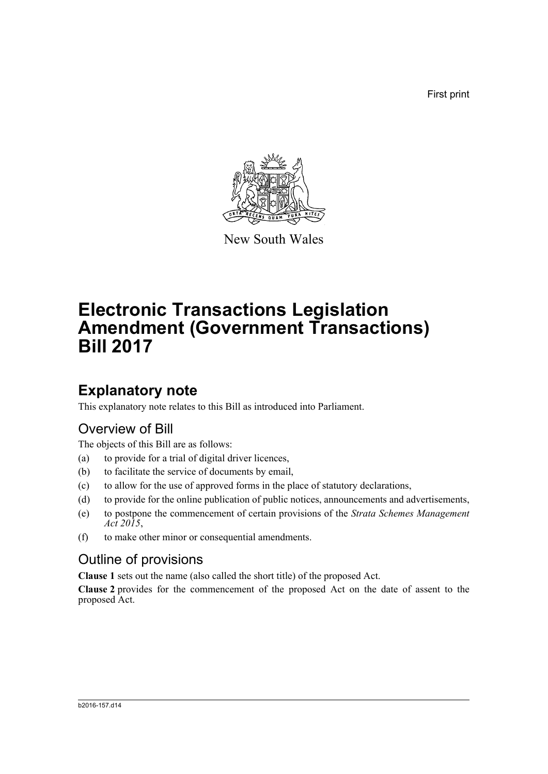First print



New South Wales

# **Electronic Transactions Legislation Amendment (Government Transactions) Bill 2017**

# **Explanatory note**

This explanatory note relates to this Bill as introduced into Parliament.

## Overview of Bill

The objects of this Bill are as follows:

- (a) to provide for a trial of digital driver licences,
- (b) to facilitate the service of documents by email,
- (c) to allow for the use of approved forms in the place of statutory declarations,
- (d) to provide for the online publication of public notices, announcements and advertisements,
- (e) to postpone the commencement of certain provisions of the *Strata Schemes Management Act 2015*,
- (f) to make other minor or consequential amendments.

### Outline of provisions

**Clause 1** sets out the name (also called the short title) of the proposed Act.

**Clause 2** provides for the commencement of the proposed Act on the date of assent to the proposed Act.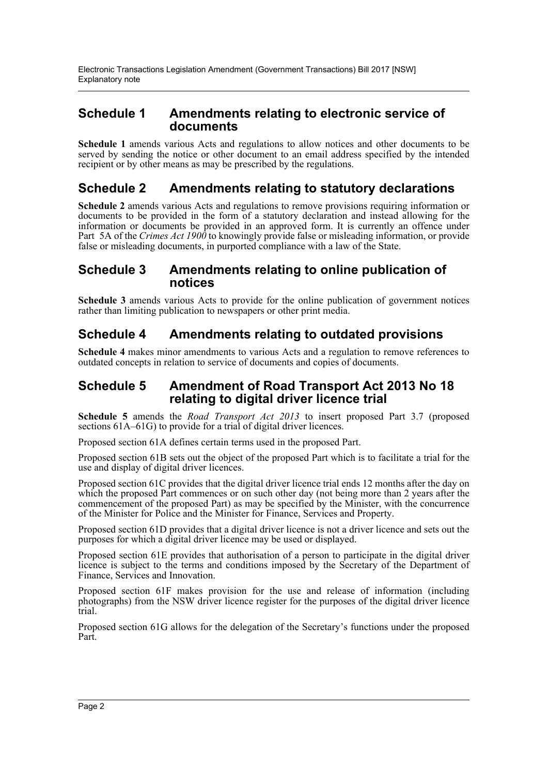### **Schedule 1 Amendments relating to electronic service of documents**

**Schedule 1** amends various Acts and regulations to allow notices and other documents to be served by sending the notice or other document to an email address specified by the intended recipient or by other means as may be prescribed by the regulations.

### **Schedule 2 Amendments relating to statutory declarations**

**Schedule 2** amends various Acts and regulations to remove provisions requiring information or documents to be provided in the form of a statutory declaration and instead allowing for the information or documents be provided in an approved form. It is currently an offence under Part 5A of the *Crimes Act 1900* to knowingly provide false or misleading information, or provide false or misleading documents, in purported compliance with a law of the State.

### **Schedule 3 Amendments relating to online publication of notices**

**Schedule 3** amends various Acts to provide for the online publication of government notices rather than limiting publication to newspapers or other print media.

### **Schedule 4 Amendments relating to outdated provisions**

**Schedule 4** makes minor amendments to various Acts and a regulation to remove references to outdated concepts in relation to service of documents and copies of documents.

### **Schedule 5 Amendment of Road Transport Act 2013 No 18 relating to digital driver licence trial**

**Schedule 5** amends the *Road Transport Act 2013* to insert proposed Part 3.7 (proposed sections  $61A-61G$ ) to provide for a trial of digital driver licences.

Proposed section 61A defines certain terms used in the proposed Part.

Proposed section 61B sets out the object of the proposed Part which is to facilitate a trial for the use and display of digital driver licences.

Proposed section 61C provides that the digital driver licence trial ends 12 months after the day on which the proposed Part commences or on such other day (not being more than 2 years after the commencement of the proposed Part) as may be specified by the Minister, with the concurrence of the Minister for Police and the Minister for Finance, Services and Property.

Proposed section 61D provides that a digital driver licence is not a driver licence and sets out the purposes for which a digital driver licence may be used or displayed.

Proposed section 61E provides that authorisation of a person to participate in the digital driver licence is subject to the terms and conditions imposed by the Secretary of the Department of Finance, Services and Innovation.

Proposed section 61F makes provision for the use and release of information (including photographs) from the NSW driver licence register for the purposes of the digital driver licence trial.

Proposed section 61G allows for the delegation of the Secretary's functions under the proposed Part.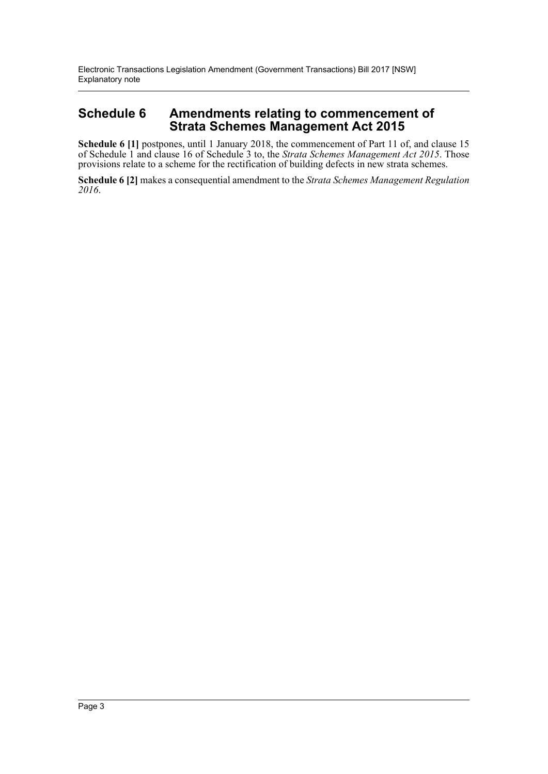Electronic Transactions Legislation Amendment (Government Transactions) Bill 2017 [NSW] Explanatory note

### **Schedule 6 Amendments relating to commencement of Strata Schemes Management Act 2015**

**Schedule 6 [1]** postpones, until 1 January 2018, the commencement of Part 11 of, and clause 15 of Schedule 1 and clause 16 of Schedule 3 to, the *Strata Schemes Management Act 2015*. Those provisions relate to a scheme for the rectification of building defects in new strata schemes.

**Schedule 6 [2]** makes a consequential amendment to the *Strata Schemes Management Regulation 2016*.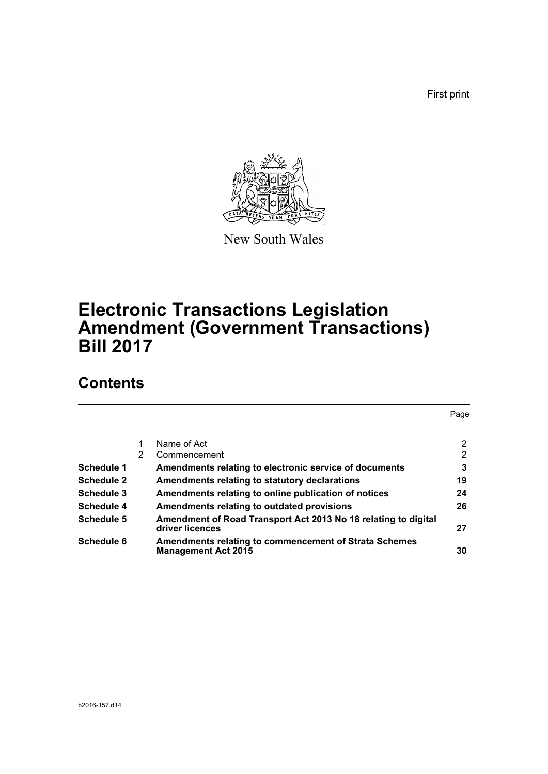First print



New South Wales

# **Electronic Transactions Legislation Amendment (Government Transactions) Bill 2017**

# **Contents**

|                   |   |                                                                                            | Page           |
|-------------------|---|--------------------------------------------------------------------------------------------|----------------|
|                   |   |                                                                                            |                |
|                   |   | Name of Act                                                                                | $\overline{2}$ |
|                   | 2 | Commencement                                                                               | 2              |
| Schedule 1        |   | Amendments relating to electronic service of documents                                     | 3              |
| <b>Schedule 2</b> |   | Amendments relating to statutory declarations                                              | 19             |
| Schedule 3        |   | Amendments relating to online publication of notices                                       | 24             |
| Schedule 4        |   | Amendments relating to outdated provisions                                                 | 26             |
| Schedule 5        |   | Amendment of Road Transport Act 2013 No 18 relating to digital<br>driver licences          | 27             |
| Schedule 6        |   | <b>Amendments relating to commencement of Strata Schemes</b><br><b>Management Act 2015</b> | 30             |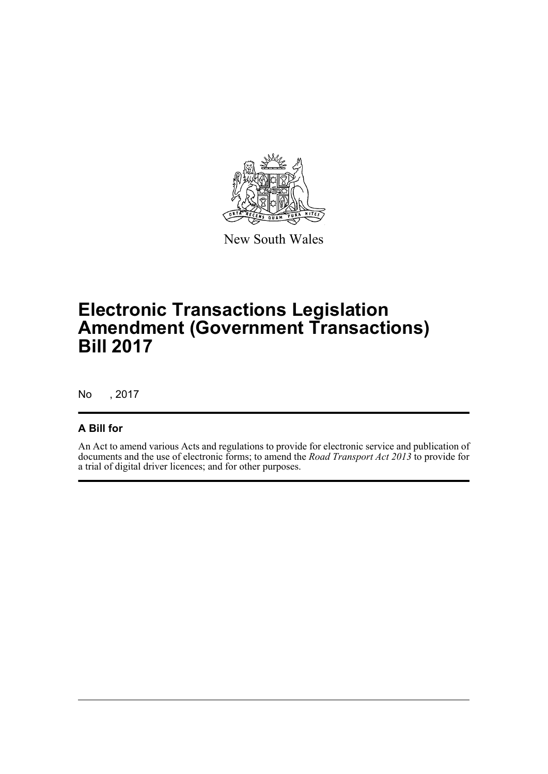

New South Wales

# **Electronic Transactions Legislation Amendment (Government Transactions) Bill 2017**

No , 2017

### **A Bill for**

An Act to amend various Acts and regulations to provide for electronic service and publication of documents and the use of electronic forms; to amend the *Road Transport Act 2013* to provide for a trial of digital driver licences; and for other purposes.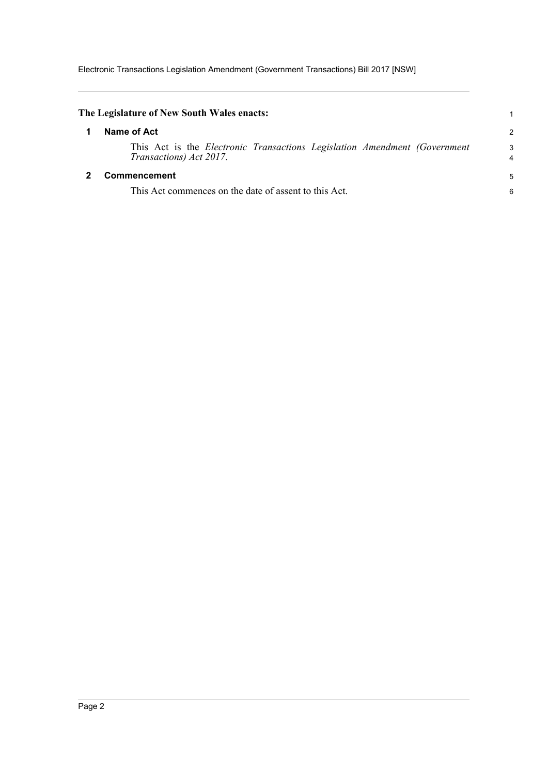Electronic Transactions Legislation Amendment (Government Transactions) Bill 2017 [NSW]

<span id="page-5-1"></span><span id="page-5-0"></span>

| The Legislature of New South Wales enacts:                                                            |        |
|-------------------------------------------------------------------------------------------------------|--------|
| Name of Act                                                                                           | 2      |
| This Act is the Electronic Transactions Legislation Amendment (Government)<br>Transactions) Act 2017. | 3<br>4 |
| Commencement                                                                                          | 5      |
| This Act commences on the date of assent to this Act.                                                 | 6      |
|                                                                                                       |        |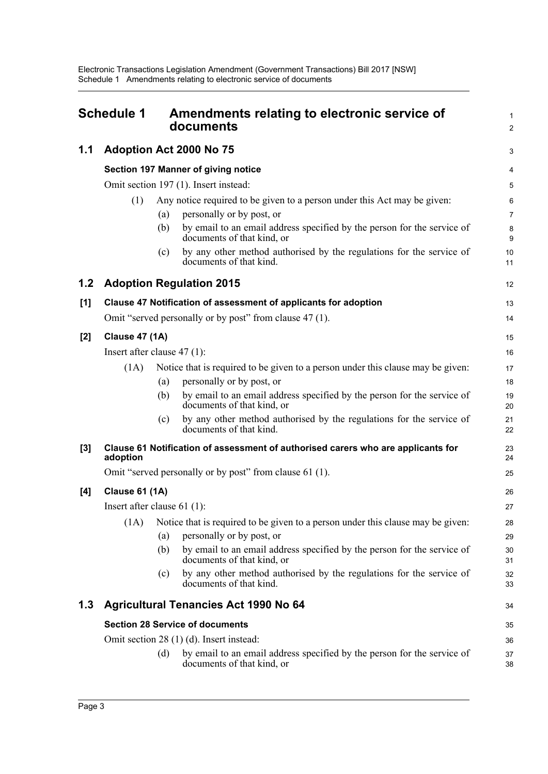<span id="page-6-0"></span>

|       | <b>Schedule 1</b>                          | Amendments relating to electronic service of<br>documents                                                                                                                                                                                                                                                                                     |                                     |  |  |  |  |  |
|-------|--------------------------------------------|-----------------------------------------------------------------------------------------------------------------------------------------------------------------------------------------------------------------------------------------------------------------------------------------------------------------------------------------------|-------------------------------------|--|--|--|--|--|
| 1.1   |                                            | Adoption Act 2000 No 75                                                                                                                                                                                                                                                                                                                       | 3                                   |  |  |  |  |  |
|       | <b>Section 197 Manner of giving notice</b> |                                                                                                                                                                                                                                                                                                                                               |                                     |  |  |  |  |  |
|       |                                            | Omit section 197 (1). Insert instead:                                                                                                                                                                                                                                                                                                         | 5                                   |  |  |  |  |  |
|       | (1)                                        | Any notice required to be given to a person under this Act may be given:<br>personally or by post, or<br>(a)<br>by email to an email address specified by the person for the service of<br>(b)<br>documents of that kind, or<br>by any other method authorised by the regulations for the service of<br>(c)                                   | 6<br>$\overline{7}$<br>8<br>9<br>10 |  |  |  |  |  |
|       |                                            | documents of that kind.                                                                                                                                                                                                                                                                                                                       | 11                                  |  |  |  |  |  |
| 1.2   |                                            | <b>Adoption Regulation 2015</b>                                                                                                                                                                                                                                                                                                               | 12                                  |  |  |  |  |  |
| [1]   |                                            | Clause 47 Notification of assessment of applicants for adoption                                                                                                                                                                                                                                                                               | 13                                  |  |  |  |  |  |
|       |                                            | Omit "served personally or by post" from clause 47 (1).                                                                                                                                                                                                                                                                                       | 14                                  |  |  |  |  |  |
| [2]   | <b>Clause 47 (1A)</b>                      |                                                                                                                                                                                                                                                                                                                                               |                                     |  |  |  |  |  |
|       | Insert after clause $47(1)$ :              |                                                                                                                                                                                                                                                                                                                                               |                                     |  |  |  |  |  |
|       | (1A)                                       | Notice that is required to be given to a person under this clause may be given:<br>personally or by post, or<br>(a)<br>by email to an email address specified by the person for the service of<br>(b)                                                                                                                                         | 17<br>18<br>19                      |  |  |  |  |  |
|       |                                            | documents of that kind, or<br>by any other method authorised by the regulations for the service of<br>(c)<br>documents of that kind.                                                                                                                                                                                                          | 20<br>21<br>22                      |  |  |  |  |  |
| $[3]$ | adoption                                   | Clause 61 Notification of assessment of authorised carers who are applicants for                                                                                                                                                                                                                                                              | 23<br>24                            |  |  |  |  |  |
|       |                                            | Omit "served personally or by post" from clause 61 (1).                                                                                                                                                                                                                                                                                       | 25                                  |  |  |  |  |  |
| [4]   | <b>Clause 61 (1A)</b>                      |                                                                                                                                                                                                                                                                                                                                               | 26                                  |  |  |  |  |  |
|       |                                            | Insert after clause $61$ (1):                                                                                                                                                                                                                                                                                                                 | 27                                  |  |  |  |  |  |
|       | (1A)                                       | Notice that is required to be given to a person under this clause may be given:<br>personally or by post, or<br>(a)<br>by email to an email address specified by the person for the service of<br>(b)<br>documents of that kind, or<br>by any other method authorised by the regulations for the service of<br>(c)<br>documents of that kind. | 28<br>29<br>30<br>31<br>32<br>33    |  |  |  |  |  |
| 1.3   |                                            | <b>Agricultural Tenancies Act 1990 No 64</b>                                                                                                                                                                                                                                                                                                  | 34                                  |  |  |  |  |  |
|       |                                            | <b>Section 28 Service of documents</b>                                                                                                                                                                                                                                                                                                        | 35                                  |  |  |  |  |  |
|       |                                            | Omit section 28 (1) (d). Insert instead:                                                                                                                                                                                                                                                                                                      | 36                                  |  |  |  |  |  |
|       |                                            | by email to an email address specified by the person for the service of<br>(d)<br>documents of that kind, or                                                                                                                                                                                                                                  | 37<br>38                            |  |  |  |  |  |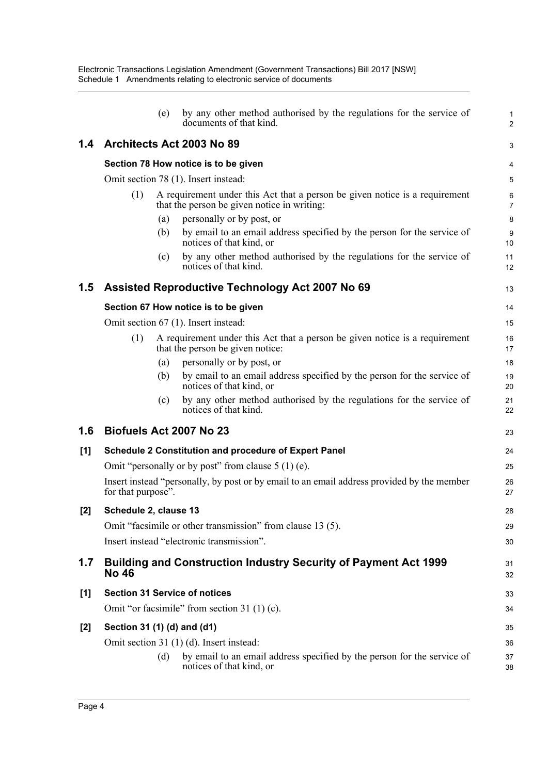|       | (e)                                           | by any other method authorised by the regulations for the service of<br>documents of that kind.                            | $\mathbf{1}$<br>$\overline{2}$ |
|-------|-----------------------------------------------|----------------------------------------------------------------------------------------------------------------------------|--------------------------------|
| 1.4   | Architects Act 2003 No 89                     |                                                                                                                            | 3                              |
|       | Section 78 How notice is to be given          |                                                                                                                            | 4                              |
|       | Omit section 78 (1). Insert instead:          |                                                                                                                            | 5                              |
|       | (1)                                           | A requirement under this Act that a person be given notice is a requirement<br>that the person be given notice in writing: | 6<br>7                         |
|       | (a)                                           | personally or by post, or                                                                                                  | 8                              |
|       | (b)                                           | by email to an email address specified by the person for the service of<br>notices of that kind, or                        | 9<br>10                        |
|       | (c)                                           | by any other method authorised by the regulations for the service of<br>notices of that kind.                              | 11<br>12                       |
| 1.5   |                                               | Assisted Reproductive Technology Act 2007 No 69                                                                            | 13                             |
|       | Section 67 How notice is to be given          |                                                                                                                            | 14                             |
|       | Omit section 67 (1). Insert instead:          |                                                                                                                            | 15                             |
|       | (1)                                           | A requirement under this Act that a person be given notice is a requirement<br>that the person be given notice:            | 16<br>17                       |
|       | (a)                                           | personally or by post, or                                                                                                  | 18                             |
|       | (b)                                           | by email to an email address specified by the person for the service of<br>notices of that kind, or                        | 19<br>20                       |
|       | (c)                                           | by any other method authorised by the regulations for the service of<br>notices of that kind.                              | 21<br>22                       |
| 1.6   | Biofuels Act 2007 No 23                       |                                                                                                                            | 23                             |
| [1]   |                                               | <b>Schedule 2 Constitution and procedure of Expert Panel</b>                                                               | 24                             |
|       |                                               | Omit "personally or by post" from clause $5(1)(e)$ .                                                                       | 25                             |
|       | for that purpose".                            | Insert instead "personally, by post or by email to an email address provided by the member                                 | 26<br>27                       |
| [2]   | Schedule 2, clause 13                         |                                                                                                                            | 28                             |
|       |                                               | Omit "facsimile or other transmission" from clause 13 (5).                                                                 | 29                             |
|       | Insert instead "electronic transmission".     |                                                                                                                            | 30                             |
| 1.7   | <b>No 46</b>                                  | <b>Building and Construction Industry Security of Payment Act 1999</b>                                                     | 31<br>32                       |
| [1]   | <b>Section 31 Service of notices</b>          |                                                                                                                            | 33                             |
|       | Omit "or facsimile" from section $31(1)(c)$ . |                                                                                                                            | 34                             |
| $[2]$ | Section 31 (1) (d) and (d1)                   |                                                                                                                            | 35                             |
|       | Omit section 31 (1) (d). Insert instead:      |                                                                                                                            | 36                             |
|       | (d)                                           | by email to an email address specified by the person for the service of<br>notices of that kind, or                        | 37<br>38                       |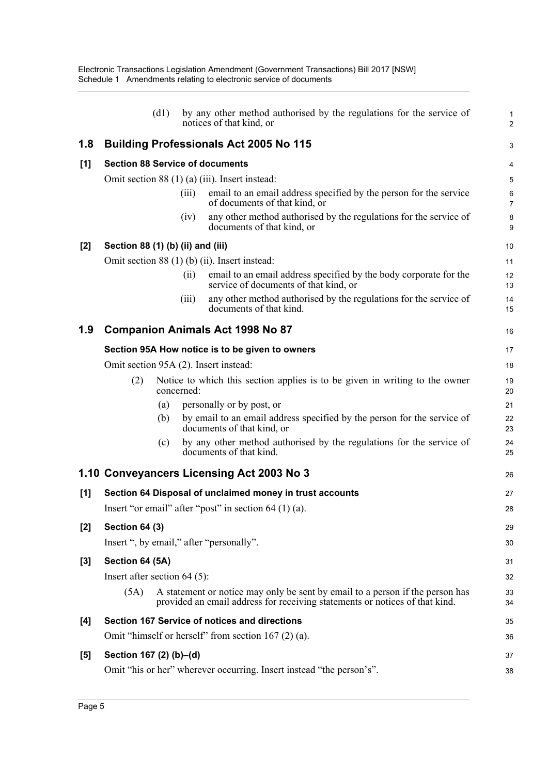|       |                                        | (d1) |            | by any other method authorised by the regulations for the service of<br>notices of that kind, or                                                             | 1<br>$\overline{c}$ |
|-------|----------------------------------------|------|------------|--------------------------------------------------------------------------------------------------------------------------------------------------------------|---------------------|
| 1.8   |                                        |      |            | Building Professionals Act 2005 No 115                                                                                                                       | 3                   |
| [1]   | <b>Section 88 Service of documents</b> |      |            |                                                                                                                                                              |                     |
|       |                                        |      |            | Omit section 88 (1) (a) (iii). Insert instead:                                                                                                               | $\overline{5}$      |
|       |                                        |      | (iii)      | email to an email address specified by the person for the service<br>of documents of that kind, or                                                           | 6<br>$\overline{7}$ |
|       |                                        |      | (iv)       | any other method authorised by the regulations for the service of<br>documents of that kind, or                                                              | 8<br>9              |
| $[2]$ | Section 88 (1) (b) (ii) and (iii)      |      |            |                                                                                                                                                              | 10                  |
|       |                                        |      |            | Omit section $88(1)(b)(ii)$ . Insert instead:                                                                                                                | 11                  |
|       |                                        |      | (i)        | email to an email address specified by the body corporate for the<br>service of documents of that kind, or                                                   | 12<br>13            |
|       |                                        |      | (iii)      | any other method authorised by the regulations for the service of<br>documents of that kind.                                                                 | 14<br>15            |
| 1.9   |                                        |      |            | <b>Companion Animals Act 1998 No 87</b>                                                                                                                      | 16                  |
|       |                                        |      |            | Section 95A How notice is to be given to owners                                                                                                              | 17                  |
|       |                                        |      |            | Omit section 95A (2). Insert instead:                                                                                                                        | 18                  |
|       | (2)                                    |      | concerned: | Notice to which this section applies is to be given in writing to the owner                                                                                  | 19<br>20            |
|       |                                        | (a)  |            | personally or by post, or                                                                                                                                    | 21                  |
|       |                                        | (b)  |            | by email to an email address specified by the person for the service of<br>documents of that kind, or                                                        | 22<br>23            |
|       |                                        | (c)  |            | by any other method authorised by the regulations for the service of<br>documents of that kind.                                                              | 24<br>25            |
|       |                                        |      |            | 1.10 Conveyancers Licensing Act 2003 No 3                                                                                                                    | 26                  |
| [1]   |                                        |      |            | Section 64 Disposal of unclaimed money in trust accounts                                                                                                     | 27                  |
|       |                                        |      |            | Insert "or email" after "post" in section $64$ (1) (a).                                                                                                      | 28                  |
| $[2]$ | <b>Section 64 (3)</b>                  |      |            |                                                                                                                                                              | 29                  |
|       |                                        |      |            | Insert ", by email," after "personally".                                                                                                                     | 30                  |
| $[3]$ | Section 64 (5A)                        |      |            |                                                                                                                                                              | 31                  |
|       | Insert after section $64$ (5):         |      |            |                                                                                                                                                              | 32                  |
|       | (5A)                                   |      |            | A statement or notice may only be sent by email to a person if the person has<br>provided an email address for receiving statements or notices of that kind. | 33<br>34            |
| [4]   |                                        |      |            | Section 167 Service of notices and directions                                                                                                                | 35                  |
|       |                                        |      |            | Omit "himself or herself" from section $167(2)(a)$ .                                                                                                         | 36                  |
| $[5]$ | Section 167 (2) (b)–(d)                |      |            |                                                                                                                                                              | 37                  |
|       |                                        |      |            | Omit "his or her" wherever occurring. Insert instead "the person's".                                                                                         | 38                  |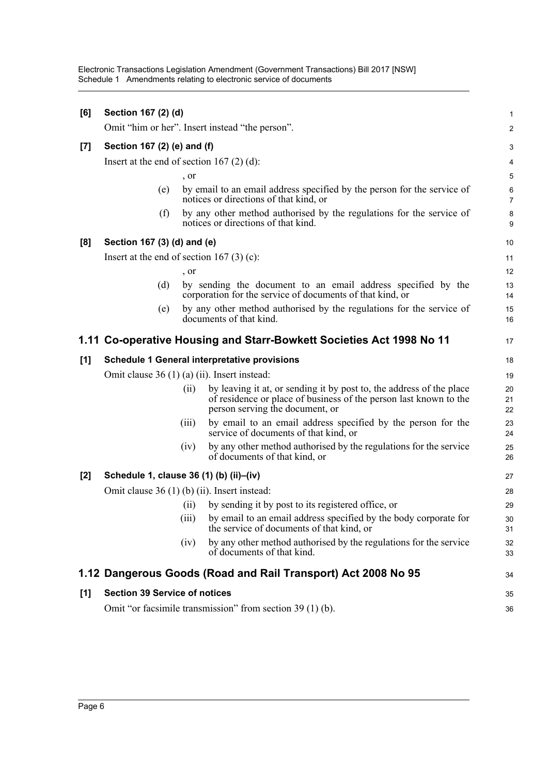| [6]   | Section 167 (2) (d)                                                        |       |                                                                                                                                                                              |                     |  |
|-------|----------------------------------------------------------------------------|-------|------------------------------------------------------------------------------------------------------------------------------------------------------------------------------|---------------------|--|
|       |                                                                            |       | Omit "him or her". Insert instead "the person".                                                                                                                              | 2                   |  |
| $[7]$ | Section 167 (2) (e) and (f)                                                |       |                                                                                                                                                                              | 3                   |  |
|       | Insert at the end of section 167 $(2)$ $(d)$ :                             |       |                                                                                                                                                                              | 4                   |  |
|       |                                                                            | , or  |                                                                                                                                                                              | 5                   |  |
|       | (e)                                                                        |       | by email to an email address specified by the person for the service of<br>notices or directions of that kind, or                                                            | 6<br>$\overline{7}$ |  |
|       | (f)                                                                        |       | by any other method authorised by the regulations for the service of<br>notices or directions of that kind.                                                                  | 8<br>9              |  |
| [8]   | Section 167 (3) (d) and (e)                                                |       |                                                                                                                                                                              | 10                  |  |
|       | Insert at the end of section 167 $(3)$ $(c)$ :                             |       |                                                                                                                                                                              | 11                  |  |
|       |                                                                            | , or  |                                                                                                                                                                              | 12                  |  |
|       | (d)                                                                        |       | by sending the document to an email address specified by the<br>corporation for the service of documents of that kind, or                                                    | 13<br>14            |  |
|       | (e)                                                                        |       | by any other method authorised by the regulations for the service of<br>documents of that kind.                                                                              | 15<br>16            |  |
|       | 1.11 Co-operative Housing and Starr-Bowkett Societies Act 1998 No 11<br>17 |       |                                                                                                                                                                              |                     |  |
| [1]   |                                                                            |       | Schedule 1 General interpretative provisions                                                                                                                                 | 18                  |  |
|       | Omit clause $36(1)(a)(ii)$ . Insert instead:                               |       |                                                                                                                                                                              | 19                  |  |
|       |                                                                            | (i)   | by leaving it at, or sending it by post to, the address of the place<br>of residence or place of business of the person last known to the<br>person serving the document, or | 20<br>21<br>22      |  |
|       |                                                                            | (iii) | by email to an email address specified by the person for the<br>service of documents of that kind, or                                                                        | 23<br>24            |  |
|       |                                                                            | (iv)  | by any other method authorised by the regulations for the service<br>of documents of that kind, or                                                                           | 25<br>26            |  |
| [2]   | Schedule 1, clause 36 (1) (b) (ii)-(iv)                                    |       |                                                                                                                                                                              | 27                  |  |
|       | Omit clause 36 (1) (b) (ii). Insert instead:                               |       |                                                                                                                                                                              | 28                  |  |
|       |                                                                            | (i)   | by sending it by post to its registered office, or                                                                                                                           | 29                  |  |
|       |                                                                            | (111) | by email to an email address specified by the body corporate for<br>the service of documents of that kind, or                                                                | 30<br>31            |  |
|       |                                                                            | (iv)  | by any other method authorised by the regulations for the service<br>of documents of that kind.                                                                              | 32<br>33            |  |
|       |                                                                            |       | 1.12 Dangerous Goods (Road and Rail Transport) Act 2008 No 95                                                                                                                | 34                  |  |
| [1]   | <b>Section 39 Service of notices</b>                                       |       |                                                                                                                                                                              | 35                  |  |
|       | Omit "or facsimile transmission" from section 39 (1) (b).<br>36            |       |                                                                                                                                                                              |                     |  |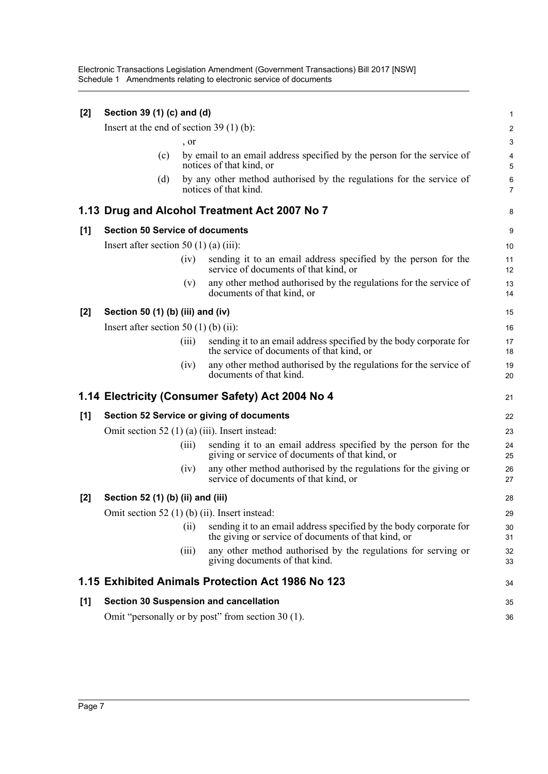| $[2]$ | Section 39 (1) (c) and (d)                       |       |                                                                                                                           |                           |
|-------|--------------------------------------------------|-------|---------------------------------------------------------------------------------------------------------------------------|---------------------------|
|       | Insert at the end of section 39 $(1)$ $(b)$ :    |       |                                                                                                                           | $\overline{\mathbf{c}}$   |
|       |                                                  | , or  |                                                                                                                           | $\ensuremath{\mathsf{3}}$ |
|       | (c)                                              |       | by email to an email address specified by the person for the service of<br>notices of that kind, or                       | 4<br>5                    |
|       | (d)                                              |       | by any other method authorised by the regulations for the service of<br>notices of that kind.                             | 6<br>$\overline{7}$       |
|       |                                                  |       | 1.13 Drug and Alcohol Treatment Act 2007 No 7                                                                             | 8                         |
| [1]   | <b>Section 50 Service of documents</b>           |       |                                                                                                                           | 9                         |
|       | Insert after section 50 $(1)$ (a) $(iii)$ :      |       |                                                                                                                           | 10                        |
|       |                                                  | (iv)  | sending it to an email address specified by the person for the<br>service of documents of that kind, or                   | 11<br>12                  |
|       |                                                  | (v)   | any other method authorised by the regulations for the service of<br>documents of that kind, or                           | 13<br>14                  |
| [2]   | Section 50 (1) (b) (iii) and (iv)                |       |                                                                                                                           | 15                        |
|       | Insert after section 50 (1) (b) (ii):            |       |                                                                                                                           | 16                        |
|       |                                                  | (iii) | sending it to an email address specified by the body corporate for<br>the service of documents of that kind, or           | 17<br>18                  |
|       |                                                  | (iv)  | any other method authorised by the regulations for the service of<br>documents of that kind.                              | 19<br>20                  |
|       |                                                  |       | 1.14 Electricity (Consumer Safety) Act 2004 No 4                                                                          | 21                        |
| [1]   |                                                  |       | <b>Section 52 Service or giving of documents</b>                                                                          | 22                        |
|       | Omit section 52 $(1)$ (a) (iii). Insert instead: |       |                                                                                                                           | 23                        |
|       |                                                  | (iii) | sending it to an email address specified by the person for the<br>giving or service of documents of that kind, or         | 24<br>25                  |
|       |                                                  | (iv)  | any other method authorised by the regulations for the giving or<br>service of documents of that kind, or                 | 26<br>27                  |
| $[2]$ | Section 52 (1) (b) (ii) and (iii)                |       |                                                                                                                           | 28                        |
|       | Omit section 52 (1) (b) (ii). Insert instead:    |       |                                                                                                                           | 29                        |
|       |                                                  | (i)   | sending it to an email address specified by the body corporate for<br>the giving or service of documents of that kind, or | 30<br>31                  |
|       |                                                  | (iii) | any other method authorised by the regulations for serving or<br>giving documents of that kind.                           | 32<br>33                  |
|       |                                                  |       | 1.15 Exhibited Animals Protection Act 1986 No 123                                                                         | 34                        |
| [1]   |                                                  |       | <b>Section 30 Suspension and cancellation</b>                                                                             | 35                        |
|       |                                                  |       | Omit "personally or by post" from section 30 (1).                                                                         | 36                        |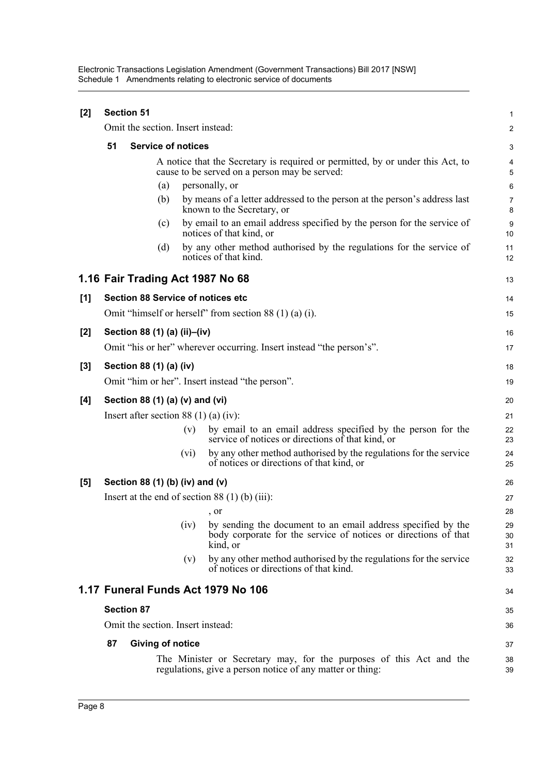| [2] |                                            | <b>Section 51</b>                        |      |                                                                                                                                             | 1                   |  |  |
|-----|--------------------------------------------|------------------------------------------|------|---------------------------------------------------------------------------------------------------------------------------------------------|---------------------|--|--|
|     |                                            | Omit the section. Insert instead:        |      |                                                                                                                                             | 2                   |  |  |
|     | 51                                         | <b>Service of notices</b>                |      |                                                                                                                                             |                     |  |  |
|     |                                            |                                          |      | A notice that the Secretary is required or permitted, by or under this Act, to<br>cause to be served on a person may be served:             | 4<br>$\overline{5}$ |  |  |
|     |                                            | (a)                                      |      | personally, or                                                                                                                              | 6                   |  |  |
|     |                                            | (b)                                      |      | by means of a letter addressed to the person at the person's address last<br>known to the Secretary, or                                     | $\overline{7}$<br>8 |  |  |
|     |                                            | (c)                                      |      | by email to an email address specified by the person for the service of<br>notices of that kind, or                                         | 9<br>10             |  |  |
|     |                                            | (d)                                      |      | by any other method authorised by the regulations for the service of<br>notices of that kind.                                               | 11<br>12            |  |  |
|     |                                            | 1.16 Fair Trading Act 1987 No 68         |      |                                                                                                                                             | 13                  |  |  |
| [1] |                                            | <b>Section 88 Service of notices etc</b> |      |                                                                                                                                             | 14                  |  |  |
|     |                                            |                                          |      | Omit "himself or herself" from section 88 $(1)$ (a) $(i)$ .                                                                                 | 15                  |  |  |
| [2] |                                            | Section 88 (1) (a) (ii)-(iv)             |      |                                                                                                                                             | 16                  |  |  |
|     |                                            |                                          |      | Omit "his or her" wherever occurring. Insert instead "the person's".                                                                        | 17                  |  |  |
| [3] |                                            | Section 88 (1) (a) (iv)                  |      |                                                                                                                                             | 18                  |  |  |
|     |                                            |                                          |      | Omit "him or her". Insert instead "the person".                                                                                             | 19                  |  |  |
| [4] |                                            | Section 88 (1) (a) (v) and (vi)          |      |                                                                                                                                             | 20                  |  |  |
|     | Insert after section 88 $(1)$ (a) $(iv)$ : |                                          |      |                                                                                                                                             |                     |  |  |
|     |                                            |                                          | (v)  | by email to an email address specified by the person for the<br>service of notices or directions of that kind, or                           | 22<br>23            |  |  |
|     |                                            |                                          | (vi) | by any other method authorised by the regulations for the service<br>of notices or directions of that kind, or                              | 24<br>25            |  |  |
| [5] |                                            | Section 88 (1) (b) (iv) and (v)          |      |                                                                                                                                             | 26                  |  |  |
|     |                                            |                                          |      | Insert at the end of section $88(1)$ (b) (iii):                                                                                             | 27                  |  |  |
|     |                                            |                                          |      | , or                                                                                                                                        | 28                  |  |  |
|     |                                            |                                          | (iv) | by sending the document to an email address specified by the<br>body corporate for the service of notices or directions of that<br>kind, or | 29<br>30<br>31      |  |  |
|     |                                            |                                          | (v)  | by any other method authorised by the regulations for the service<br>of notices or directions of that kind.                                 | 32<br>33            |  |  |
|     |                                            |                                          |      | 1.17 Funeral Funds Act 1979 No 106                                                                                                          | 34                  |  |  |
|     |                                            | <b>Section 87</b>                        |      |                                                                                                                                             |                     |  |  |
|     |                                            | Omit the section. Insert instead:        |      |                                                                                                                                             | 36                  |  |  |
|     | 87                                         | <b>Giving of notice</b>                  |      |                                                                                                                                             | 37                  |  |  |
|     |                                            |                                          |      | The Minister or Secretary may, for the purposes of this Act and the<br>regulations, give a person notice of any matter or thing:            | 38<br>39            |  |  |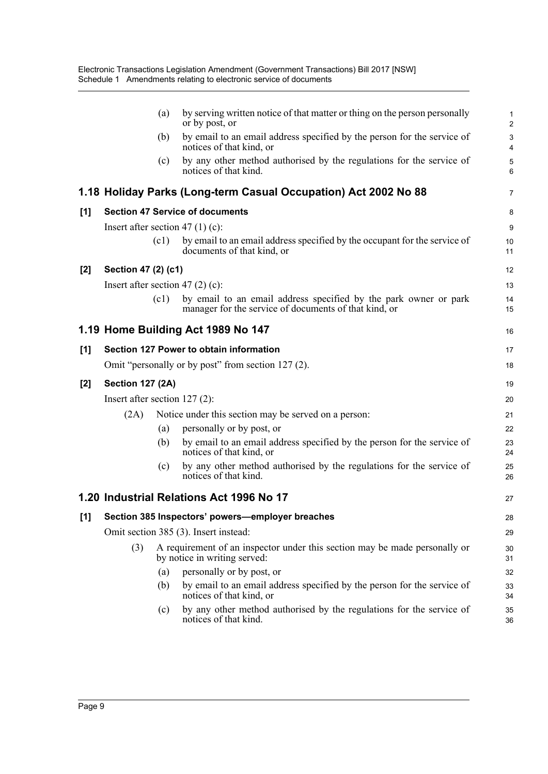|     |                                    | (a)  | by serving written notice of that matter or thing on the person personally<br>or by post, or                              | 1<br>$\overline{2}$           |
|-----|------------------------------------|------|---------------------------------------------------------------------------------------------------------------------------|-------------------------------|
|     |                                    | (b)  | by email to an email address specified by the person for the service of<br>notices of that kind, or                       | $\mathsf 3$<br>$\overline{4}$ |
|     |                                    | (c)  | by any other method authorised by the regulations for the service of<br>notices of that kind.                             | 5<br>6                        |
|     |                                    |      | 1.18 Holiday Parks (Long-term Casual Occupation) Act 2002 No 88                                                           | 7                             |
| [1] |                                    |      | <b>Section 47 Service of documents</b>                                                                                    | 8                             |
|     | Insert after section 47 $(1)$ (c): |      |                                                                                                                           | 9                             |
|     |                                    | (c1) | by email to an email address specified by the occupant for the service of<br>documents of that kind, or                   | 10<br>11                      |
| [2] | Section 47 (2) (c1)                |      |                                                                                                                           | 12                            |
|     | Insert after section 47 $(2)$ (c): |      |                                                                                                                           | 13                            |
|     |                                    | (c1) | by email to an email address specified by the park owner or park<br>manager for the service of documents of that kind, or | 14<br>15                      |
|     |                                    |      | 1.19 Home Building Act 1989 No 147                                                                                        | 16                            |
| [1] |                                    |      | Section 127 Power to obtain information                                                                                   | 17                            |
|     |                                    |      | Omit "personally or by post" from section 127 (2).                                                                        | 18                            |
| [2] | <b>Section 127 (2A)</b>            |      |                                                                                                                           | 19                            |
|     | Insert after section $127(2)$ :    |      |                                                                                                                           | 20                            |
|     | (2A)                               |      | Notice under this section may be served on a person:                                                                      | 21                            |
|     |                                    | (a)  | personally or by post, or                                                                                                 | 22                            |
|     |                                    | (b)  | by email to an email address specified by the person for the service of<br>notices of that kind, or                       | 23<br>24                      |
|     |                                    | (c)  | by any other method authorised by the regulations for the service of<br>notices of that kind.                             | 25<br>26                      |
|     |                                    |      | 1.20 Industrial Relations Act 1996 No 17                                                                                  | 27                            |
|     |                                    |      | [1] Section 385 Inspectors' powers-employer breaches                                                                      | 28                            |
|     |                                    |      | Omit section 385 (3). Insert instead:                                                                                     | 29                            |
|     | (3)                                |      | A requirement of an inspector under this section may be made personally or<br>by notice in writing served:                | 30<br>31                      |
|     |                                    | (a)  | personally or by post, or                                                                                                 | 32                            |
|     |                                    | (b)  | by email to an email address specified by the person for the service of<br>notices of that kind, or                       | 33<br>34                      |
|     |                                    | (c)  | by any other method authorised by the regulations for the service of<br>notices of that kind.                             | 35<br>36                      |
|     |                                    |      |                                                                                                                           |                               |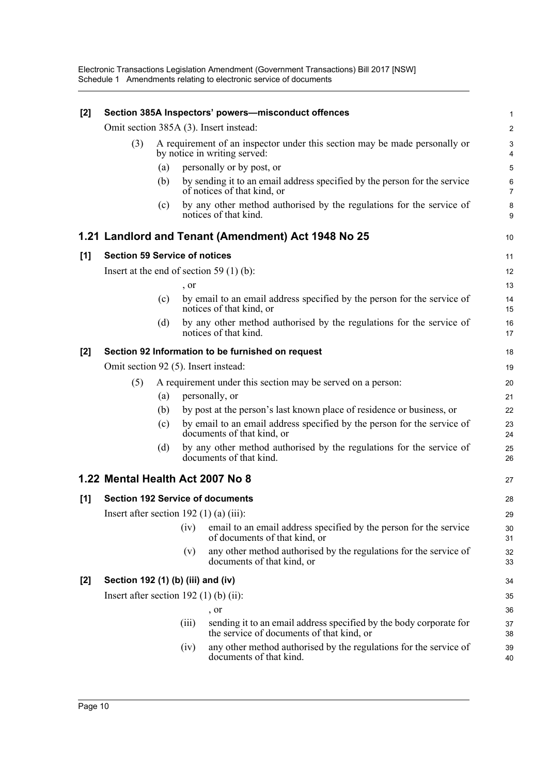| $[2]$ | Section 385A Inspectors' powers-misconduct offences<br>1 |     |                                                                                                                          |                                |  |  |  |
|-------|----------------------------------------------------------|-----|--------------------------------------------------------------------------------------------------------------------------|--------------------------------|--|--|--|
|       |                                                          |     | Omit section 385A (3). Insert instead:                                                                                   | $\overline{2}$                 |  |  |  |
|       | (3)                                                      |     | A requirement of an inspector under this section may be made personally or<br>by notice in writing served:               | $\ensuremath{\mathsf{3}}$<br>4 |  |  |  |
|       |                                                          | (a) | personally or by post, or                                                                                                | $\overline{5}$                 |  |  |  |
|       |                                                          | (b) | by sending it to an email address specified by the person for the service<br>of notices of that kind, or                 | 6<br>$\overline{7}$            |  |  |  |
|       |                                                          | (c) | by any other method authorised by the regulations for the service of<br>notices of that kind.                            | 8<br>9                         |  |  |  |
|       |                                                          |     | 1.21 Landlord and Tenant (Amendment) Act 1948 No 25                                                                      | 10                             |  |  |  |
| [1]   |                                                          |     | <b>Section 59 Service of notices</b>                                                                                     | 11                             |  |  |  |
|       |                                                          |     | Insert at the end of section 59 $(1)$ (b):                                                                               | 12                             |  |  |  |
|       |                                                          |     | , or                                                                                                                     | 13                             |  |  |  |
|       |                                                          | (c) | by email to an email address specified by the person for the service of<br>notices of that kind, or                      | 14<br>15                       |  |  |  |
|       |                                                          | (d) | by any other method authorised by the regulations for the service of<br>notices of that kind.                            | 16<br>17                       |  |  |  |
| [2]   |                                                          |     | Section 92 Information to be furnished on request                                                                        | 18                             |  |  |  |
|       |                                                          |     | Omit section 92 (5). Insert instead:                                                                                     | 19                             |  |  |  |
|       | (5)                                                      |     | A requirement under this section may be served on a person:                                                              | 20                             |  |  |  |
|       |                                                          | (a) | personally, or                                                                                                           | 21                             |  |  |  |
|       |                                                          | (b) | by post at the person's last known place of residence or business, or                                                    | 22                             |  |  |  |
|       |                                                          | (c) | by email to an email address specified by the person for the service of<br>documents of that kind, or                    | 23<br>24                       |  |  |  |
|       |                                                          | (d) | by any other method authorised by the regulations for the service of<br>documents of that kind.                          | 25<br>26                       |  |  |  |
|       |                                                          |     | 1.22 Mental Health Act 2007 No 8                                                                                         | 27                             |  |  |  |
| [1]   |                                                          |     | <b>Section 192 Service of documents</b>                                                                                  | 28                             |  |  |  |
|       |                                                          |     | Insert after section 192 $(1)$ (a) $(iii)$ :                                                                             | 29                             |  |  |  |
|       |                                                          |     | email to an email address specified by the person for the service<br>(iv)<br>of documents of that kind, or               | 30<br>31                       |  |  |  |
|       |                                                          |     | any other method authorised by the regulations for the service of<br>(v)<br>documents of that kind, or                   | 32<br>33                       |  |  |  |
| $[2]$ |                                                          |     | Section 192 (1) (b) (iii) and (iv)                                                                                       | 34                             |  |  |  |
|       |                                                          |     | Insert after section 192 $(1)$ (b) $(ii)$ :                                                                              | 35                             |  |  |  |
|       |                                                          |     | , or                                                                                                                     | 36                             |  |  |  |
|       |                                                          |     | sending it to an email address specified by the body corporate for<br>(iii)<br>the service of documents of that kind, or | 37<br>38                       |  |  |  |
|       |                                                          |     | any other method authorised by the regulations for the service of<br>(iv)<br>documents of that kind.                     | 39<br>40                       |  |  |  |
|       |                                                          |     |                                                                                                                          |                                |  |  |  |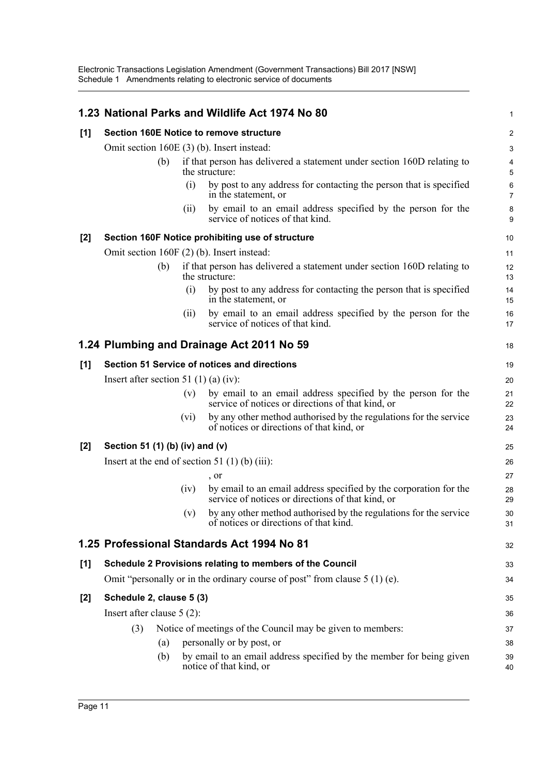|                                           |                                            |     |      | 1.23 National Parks and Wildlife Act 1974 No 80                                                                        | 1                   |
|-------------------------------------------|--------------------------------------------|-----|------|------------------------------------------------------------------------------------------------------------------------|---------------------|
| [1]                                       |                                            |     |      | <b>Section 160E Notice to remove structure</b>                                                                         | 2                   |
|                                           |                                            |     |      | Omit section 160E (3) (b). Insert instead:                                                                             | 3                   |
|                                           |                                            | (b) |      | if that person has delivered a statement under section 160D relating to<br>the structure:                              | 4<br>5              |
|                                           |                                            |     | (i)  | by post to any address for contacting the person that is specified<br>in the statement, or                             | 6<br>$\overline{7}$ |
|                                           |                                            |     | (ii) | by email to an email address specified by the person for the<br>service of notices of that kind.                       | 8<br>9              |
| $[2]$                                     |                                            |     |      | Section 160F Notice prohibiting use of structure                                                                       | 10                  |
|                                           | Omit section 160F (2) (b). Insert instead: |     |      |                                                                                                                        |                     |
|                                           |                                            | (b) |      | if that person has delivered a statement under section 160D relating to<br>the structure:                              | 12<br>13            |
|                                           |                                            |     | (i)  | by post to any address for contacting the person that is specified<br>in the statement, or                             | 14<br>15            |
|                                           |                                            |     | (i)  | by email to an email address specified by the person for the<br>service of notices of that kind.                       | 16<br>17            |
| 1.24 Plumbing and Drainage Act 2011 No 59 |                                            |     |      | 18                                                                                                                     |                     |
| [1]                                       |                                            |     |      | Section 51 Service of notices and directions                                                                           | 19                  |
|                                           | Insert after section 51 (1) (a) (iv):      |     |      |                                                                                                                        | 20                  |
|                                           |                                            |     | (v)  | by email to an email address specified by the person for the<br>service of notices or directions of that kind, or      | 21<br>22            |
|                                           |                                            |     | (vi) | by any other method authorised by the regulations for the service<br>of notices or directions of that kind, or         | 23<br>24            |
| $[2]$                                     | Section 51 (1) (b) (iv) and (v)            |     |      |                                                                                                                        | 25                  |
|                                           |                                            |     |      | Insert at the end of section 51 (1) (b) (iii):                                                                         | 26                  |
|                                           |                                            |     |      | $\Omega$                                                                                                               | 27                  |
|                                           |                                            |     | (iv) | by email to an email address specified by the corporation for the<br>service of notices or directions of that kind, or | 28<br>29            |
|                                           |                                            |     | (v)  | by any other method authorised by the regulations for the service<br>of notices or directions of that kind.            | 30<br>31            |
|                                           |                                            |     |      | 1.25 Professional Standards Act 1994 No 81                                                                             | 32                  |
| [1]                                       |                                            |     |      | Schedule 2 Provisions relating to members of the Council                                                               | 33                  |
|                                           |                                            |     |      | Omit "personally or in the ordinary course of post" from clause $5(1)$ (e).                                            | 34                  |
| $[2]$                                     | Schedule 2, clause 5 (3)                   |     |      |                                                                                                                        | 35                  |
|                                           | Insert after clause $5(2)$ :               |     |      |                                                                                                                        | 36                  |
|                                           | (3)                                        |     |      | Notice of meetings of the Council may be given to members:                                                             | 37                  |
|                                           |                                            | (a) |      | personally or by post, or                                                                                              | 38                  |
|                                           |                                            | (b) |      | by email to an email address specified by the member for being given<br>notice of that kind, or                        | 39<br>40            |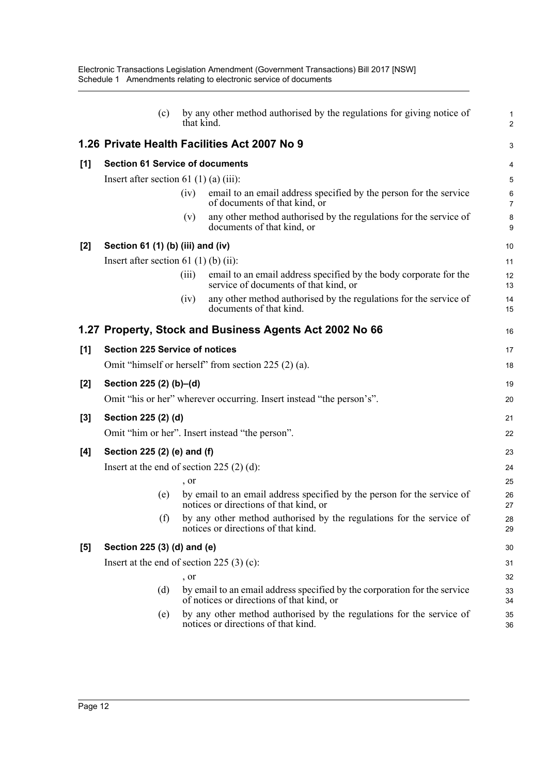|       | (c)                                                 | by any other method authorised by the regulations for giving notice of<br>that kind.                                   | $\mathbf{1}$<br>$\overline{2}$ |  |  |
|-------|-----------------------------------------------------|------------------------------------------------------------------------------------------------------------------------|--------------------------------|--|--|
|       |                                                     | 1.26 Private Health Facilities Act 2007 No 9                                                                           | 3                              |  |  |
| [1]   | <b>Section 61 Service of documents</b>              |                                                                                                                        | 4                              |  |  |
|       | Insert after section 61 $(1)$ (a) $(iii)$ :         |                                                                                                                        | 5                              |  |  |
|       |                                                     | email to an email address specified by the person for the service<br>(iv)<br>of documents of that kind, or             | $\,6$<br>$\overline{7}$        |  |  |
|       |                                                     | any other method authorised by the regulations for the service of<br>(v)<br>documents of that kind, or                 | 8<br>9                         |  |  |
| $[2]$ | Section 61 (1) (b) (iii) and (iv)                   |                                                                                                                        | 10                             |  |  |
|       | Insert after section 61 (1) (b) (ii):               |                                                                                                                        | 11                             |  |  |
|       |                                                     | email to an email address specified by the body corporate for the<br>(iii)<br>service of documents of that kind, or    | 12<br>13                       |  |  |
|       |                                                     | any other method authorised by the regulations for the service of<br>(iv)<br>documents of that kind.                   | 14<br>15                       |  |  |
|       |                                                     | 1.27 Property, Stock and Business Agents Act 2002 No 66                                                                | 16                             |  |  |
| [1]   | <b>Section 225 Service of notices</b>               |                                                                                                                        | 17                             |  |  |
|       | Omit "himself or herself" from section 225 (2) (a). |                                                                                                                        |                                |  |  |
| $[2]$ | Section 225 (2) (b)-(d)                             |                                                                                                                        | 19                             |  |  |
|       |                                                     | Omit "his or her" wherever occurring. Insert instead "the person's".                                                   | 20                             |  |  |
| $[3]$ | Section 225 (2) (d)                                 |                                                                                                                        | 21                             |  |  |
|       |                                                     | Omit "him or her". Insert instead "the person".                                                                        | 22                             |  |  |
| [4]   | Section 225 (2) (e) and (f)                         |                                                                                                                        |                                |  |  |
|       |                                                     | Insert at the end of section 225 $(2)$ (d):                                                                            | 24                             |  |  |
|       |                                                     | , or                                                                                                                   | 25                             |  |  |
|       | (e)                                                 | by email to an email address specified by the person for the service of<br>notices or directions of that kind, or      | 26<br>27                       |  |  |
|       | (f)                                                 | by any other method authorised by the regulations for the service of<br>notices or directions of that kind.            | 28<br>29                       |  |  |
| [5]   | Section 225 (3) (d) and (e)                         |                                                                                                                        | 30                             |  |  |
|       |                                                     | Insert at the end of section 225 $(3)$ (c):                                                                            | 31                             |  |  |
|       |                                                     | , or                                                                                                                   | 32                             |  |  |
|       | (d)                                                 | by email to an email address specified by the corporation for the service<br>of notices or directions of that kind, or | 33<br>34                       |  |  |
|       | (e)                                                 | by any other method authorised by the regulations for the service of<br>notices or directions of that kind.            | 35<br>36                       |  |  |
|       |                                                     |                                                                                                                        |                                |  |  |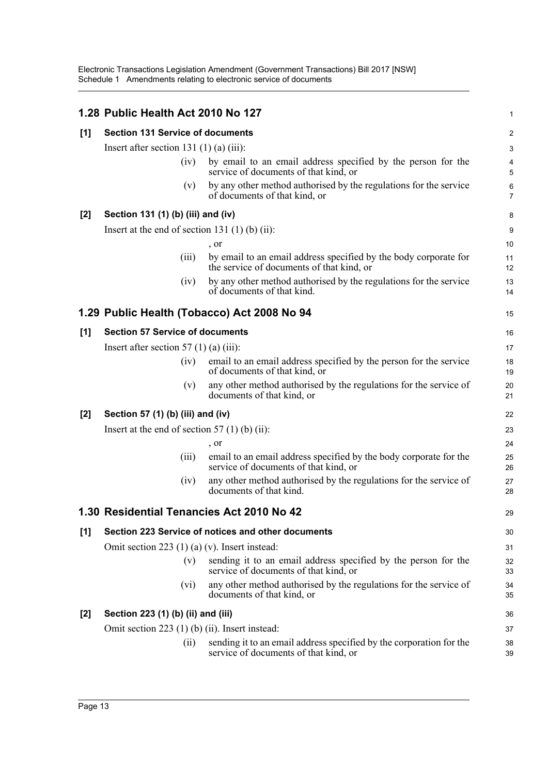|                                                |                                                                                                               | $\mathbf{1}$                                                                                                                                                                                                                                                                                                                                                                                                                                                                                                                                                                                                                                               |  |  |  |
|------------------------------------------------|---------------------------------------------------------------------------------------------------------------|------------------------------------------------------------------------------------------------------------------------------------------------------------------------------------------------------------------------------------------------------------------------------------------------------------------------------------------------------------------------------------------------------------------------------------------------------------------------------------------------------------------------------------------------------------------------------------------------------------------------------------------------------------|--|--|--|
|                                                |                                                                                                               | 2                                                                                                                                                                                                                                                                                                                                                                                                                                                                                                                                                                                                                                                          |  |  |  |
| Insert after section 131 $(1)$ $(a)$ $(iii)$ : |                                                                                                               |                                                                                                                                                                                                                                                                                                                                                                                                                                                                                                                                                                                                                                                            |  |  |  |
| (iv)                                           | by email to an email address specified by the person for the<br>service of documents of that kind, or         | 4<br>5                                                                                                                                                                                                                                                                                                                                                                                                                                                                                                                                                                                                                                                     |  |  |  |
| (v)                                            | by any other method authorised by the regulations for the service<br>of documents of that kind, or            | 6<br>$\overline{7}$                                                                                                                                                                                                                                                                                                                                                                                                                                                                                                                                                                                                                                        |  |  |  |
|                                                |                                                                                                               | 8                                                                                                                                                                                                                                                                                                                                                                                                                                                                                                                                                                                                                                                          |  |  |  |
|                                                |                                                                                                               | 9                                                                                                                                                                                                                                                                                                                                                                                                                                                                                                                                                                                                                                                          |  |  |  |
|                                                | , or                                                                                                          | 10                                                                                                                                                                                                                                                                                                                                                                                                                                                                                                                                                                                                                                                         |  |  |  |
| (iii)                                          | by email to an email address specified by the body corporate for<br>the service of documents of that kind, or | 11<br>12                                                                                                                                                                                                                                                                                                                                                                                                                                                                                                                                                                                                                                                   |  |  |  |
| (iv)                                           | by any other method authorised by the regulations for the service<br>of documents of that kind.               | 13<br>14                                                                                                                                                                                                                                                                                                                                                                                                                                                                                                                                                                                                                                                   |  |  |  |
|                                                |                                                                                                               | 15                                                                                                                                                                                                                                                                                                                                                                                                                                                                                                                                                                                                                                                         |  |  |  |
|                                                |                                                                                                               | 16                                                                                                                                                                                                                                                                                                                                                                                                                                                                                                                                                                                                                                                         |  |  |  |
|                                                |                                                                                                               | 17                                                                                                                                                                                                                                                                                                                                                                                                                                                                                                                                                                                                                                                         |  |  |  |
| (iv)                                           | email to an email address specified by the person for the service<br>of documents of that kind, or            | 18<br>19                                                                                                                                                                                                                                                                                                                                                                                                                                                                                                                                                                                                                                                   |  |  |  |
| (v)                                            | any other method authorised by the regulations for the service of<br>documents of that kind, or               | 20<br>21                                                                                                                                                                                                                                                                                                                                                                                                                                                                                                                                                                                                                                                   |  |  |  |
|                                                |                                                                                                               | 22                                                                                                                                                                                                                                                                                                                                                                                                                                                                                                                                                                                                                                                         |  |  |  |
|                                                |                                                                                                               | 23                                                                                                                                                                                                                                                                                                                                                                                                                                                                                                                                                                                                                                                         |  |  |  |
|                                                | , or                                                                                                          | 24                                                                                                                                                                                                                                                                                                                                                                                                                                                                                                                                                                                                                                                         |  |  |  |
| (iii)                                          | email to an email address specified by the body corporate for the<br>service of documents of that kind, or    | 25<br>26                                                                                                                                                                                                                                                                                                                                                                                                                                                                                                                                                                                                                                                   |  |  |  |
| (iv)                                           | any other method authorised by the regulations for the service of<br>documents of that kind.                  | 27<br>28                                                                                                                                                                                                                                                                                                                                                                                                                                                                                                                                                                                                                                                   |  |  |  |
|                                                |                                                                                                               | 29                                                                                                                                                                                                                                                                                                                                                                                                                                                                                                                                                                                                                                                         |  |  |  |
|                                                |                                                                                                               | 30                                                                                                                                                                                                                                                                                                                                                                                                                                                                                                                                                                                                                                                         |  |  |  |
|                                                |                                                                                                               | 31                                                                                                                                                                                                                                                                                                                                                                                                                                                                                                                                                                                                                                                         |  |  |  |
| (v)                                            | sending it to an email address specified by the person for the<br>service of documents of that kind, or       | 32<br>33                                                                                                                                                                                                                                                                                                                                                                                                                                                                                                                                                                                                                                                   |  |  |  |
| (vi)                                           | any other method authorised by the regulations for the service of<br>documents of that kind, or               | 34<br>35                                                                                                                                                                                                                                                                                                                                                                                                                                                                                                                                                                                                                                                   |  |  |  |
|                                                |                                                                                                               | 36                                                                                                                                                                                                                                                                                                                                                                                                                                                                                                                                                                                                                                                         |  |  |  |
|                                                |                                                                                                               | 37                                                                                                                                                                                                                                                                                                                                                                                                                                                                                                                                                                                                                                                         |  |  |  |
| (i)                                            | sending it to an email address specified by the corporation for the<br>service of documents of that kind, or  | 38<br>39                                                                                                                                                                                                                                                                                                                                                                                                                                                                                                                                                                                                                                                   |  |  |  |
|                                                |                                                                                                               | 1.28 Public Health Act 2010 No 127<br><b>Section 131 Service of documents</b><br>Section 131 (1) (b) (iii) and (iv)<br>Insert at the end of section 131 $(1)$ $(b)$ $(ii)$ :<br>1.29 Public Health (Tobacco) Act 2008 No 94<br><b>Section 57 Service of documents</b><br>Insert after section 57 (1) (a) (iii):<br>Section 57 (1) (b) (iii) and (iv)<br>Insert at the end of section 57 $(1)$ (b) $(ii)$ :<br>1.30 Residential Tenancies Act 2010 No 42<br>Section 223 Service of notices and other documents<br>Omit section 223 $(1)$ (a) (v). Insert instead:<br>Section 223 (1) (b) (ii) and (iii)<br>Omit section $223$ (1) (b) (ii). Insert instead: |  |  |  |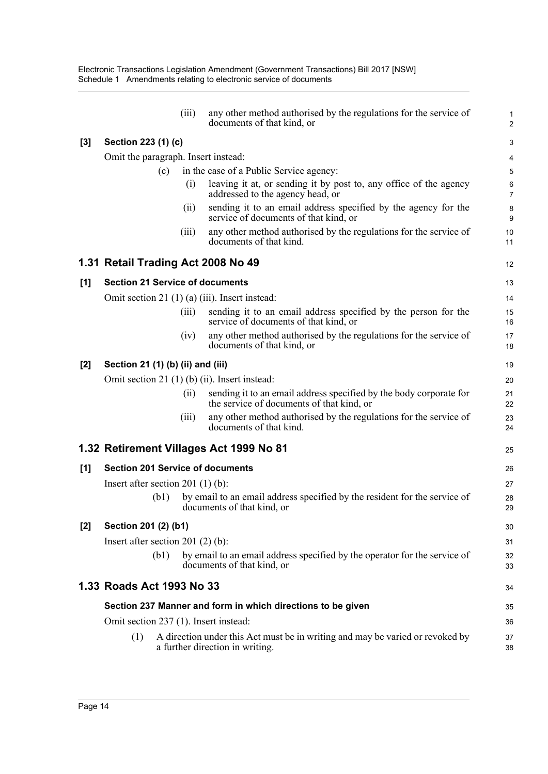|       |                                        | (iii) | any other method authorised by the regulations for the service of<br>documents of that kind, or                  | 1<br>$\overline{c}$ |
|-------|----------------------------------------|-------|------------------------------------------------------------------------------------------------------------------|---------------------|
| $[3]$ | Section 223 (1) (c)                    |       |                                                                                                                  | 3                   |
|       | Omit the paragraph. Insert instead:    |       |                                                                                                                  | 4                   |
|       |                                        | (c)   | in the case of a Public Service agency:                                                                          | 5                   |
|       |                                        | (i)   | leaving it at, or sending it by post to, any office of the agency<br>addressed to the agency head, or            | 6<br>$\overline{7}$ |
|       |                                        | (ii)  | sending it to an email address specified by the agency for the<br>service of documents of that kind, or          | 8<br>9              |
|       |                                        | (iii) | any other method authorised by the regulations for the service of<br>documents of that kind.                     | 10<br>11            |
|       |                                        |       | 1.31 Retail Trading Act 2008 No 49                                                                               | 12                  |
| [1]   | <b>Section 21 Service of documents</b> |       |                                                                                                                  | 13                  |
|       |                                        |       | Omit section 21 (1) (a) (iii). Insert instead:                                                                   | 14                  |
|       |                                        | (iii) | sending it to an email address specified by the person for the<br>service of documents of that kind, or          | 15<br>16            |
|       |                                        | (iv)  | any other method authorised by the regulations for the service of<br>documents of that kind, or                  | 17<br>18            |
| $[2]$ | Section 21 (1) (b) (ii) and (iii)      |       |                                                                                                                  | 19                  |
|       |                                        |       | Omit section 21 $(1)$ $(b)$ $(ii)$ . Insert instead:                                                             | 20                  |
|       |                                        | (i)   | sending it to an email address specified by the body corporate for<br>the service of documents of that kind, or  | 21<br>22            |
|       |                                        | (iii) | any other method authorised by the regulations for the service of<br>documents of that kind.                     | 23<br>24            |
|       |                                        |       | 1.32 Retirement Villages Act 1999 No 81                                                                          | 25                  |
| [1]   |                                        |       | <b>Section 201 Service of documents</b>                                                                          | 26                  |
|       | Insert after section 201 $(1)$ $(b)$ : |       |                                                                                                                  | 27                  |
|       |                                        | (b1)  | by email to an email address specified by the resident for the service of<br>documents of that kind, or          | 28<br>29            |
| $[2]$ | Section 201 (2) (b1)                   |       |                                                                                                                  | 30                  |
|       | Insert after section 201 $(2)$ $(b)$ : |       |                                                                                                                  | 31                  |
|       |                                        | (b1)  | by email to an email address specified by the operator for the service of<br>documents of that kind, or          | 32<br>33            |
|       | 1.33 Roads Act 1993 No 33              |       |                                                                                                                  | 34                  |
|       |                                        |       | Section 237 Manner and form in which directions to be given                                                      | 35                  |
|       |                                        |       | Omit section 237 (1). Insert instead:                                                                            | 36                  |
|       | (1)                                    |       | A direction under this Act must be in writing and may be varied or revoked by<br>a further direction in writing. | 37<br>38            |
|       |                                        |       |                                                                                                                  |                     |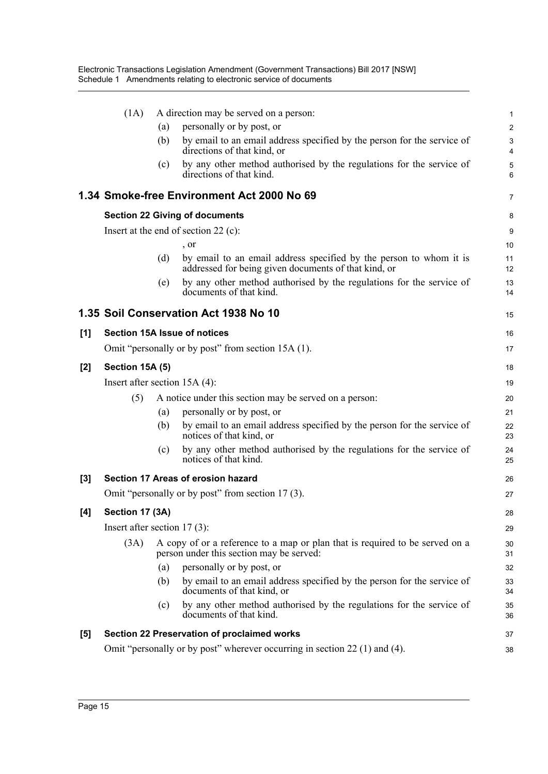|     | (1A)                            |     | A direction may be served on a person:                                                                                     | $\mathbf{1}$        |
|-----|---------------------------------|-----|----------------------------------------------------------------------------------------------------------------------------|---------------------|
|     |                                 | (a) | personally or by post, or                                                                                                  | $\overline{c}$      |
|     |                                 | (b) | by email to an email address specified by the person for the service of<br>directions of that kind, or                     | 3<br>$\overline{4}$ |
|     |                                 | (c) | by any other method authorised by the regulations for the service of<br>directions of that kind.                           | 5<br>6              |
|     |                                 |     | 1.34 Smoke-free Environment Act 2000 No 69                                                                                 | $\overline{7}$      |
|     |                                 |     | <b>Section 22 Giving of documents</b>                                                                                      | 8                   |
|     |                                 |     | Insert at the end of section 22 (c):                                                                                       | 9                   |
|     |                                 |     | , or                                                                                                                       | 10                  |
|     |                                 | (d) | by email to an email address specified by the person to whom it is<br>addressed for being given documents of that kind, or | 11<br>12            |
|     |                                 | (e) | by any other method authorised by the regulations for the service of<br>documents of that kind.                            | 13<br>14            |
|     |                                 |     | 1.35 Soil Conservation Act 1938 No 10                                                                                      | 15                  |
| [1] |                                 |     | <b>Section 15A Issue of notices</b>                                                                                        | 16                  |
|     |                                 |     | Omit "personally or by post" from section 15A (1).                                                                         | 17                  |
| [2] | Section 15A (5)                 |     |                                                                                                                            | 18                  |
|     | Insert after section $15A(4)$ : |     |                                                                                                                            | 19                  |
|     | (5)                             |     | A notice under this section may be served on a person:                                                                     | 20                  |
|     |                                 | (a) | personally or by post, or                                                                                                  | 21                  |
|     |                                 | (b) | by email to an email address specified by the person for the service of<br>notices of that kind, or                        | 22<br>23            |
|     |                                 | (c) | by any other method authorised by the regulations for the service of<br>notices of that kind.                              | 24<br>25            |
| [3] |                                 |     | Section 17 Areas of erosion hazard                                                                                         | 26                  |
|     |                                 |     | Omit "personally or by post" from section 17(3).                                                                           | 27                  |
| [4] | Section 17 (3A)                 |     |                                                                                                                            | 28                  |
|     | Insert after section $17(3)$ :  |     |                                                                                                                            | 29                  |
|     | (3A)                            |     | A copy of or a reference to a map or plan that is required to be served on a<br>person under this section may be served:   | 30<br>31            |
|     |                                 | (a) | personally or by post, or                                                                                                  | 32                  |
|     |                                 | (b) | by email to an email address specified by the person for the service of<br>documents of that kind, or                      | 33<br>34            |
|     |                                 | (c) | by any other method authorised by the regulations for the service of<br>documents of that kind.                            | 35<br>36            |
| [5] |                                 |     | Section 22 Preservation of proclaimed works                                                                                | 37                  |
|     |                                 |     | Omit "personally or by post" wherever occurring in section 22 (1) and (4).                                                 | 38                  |
|     |                                 |     |                                                                                                                            |                     |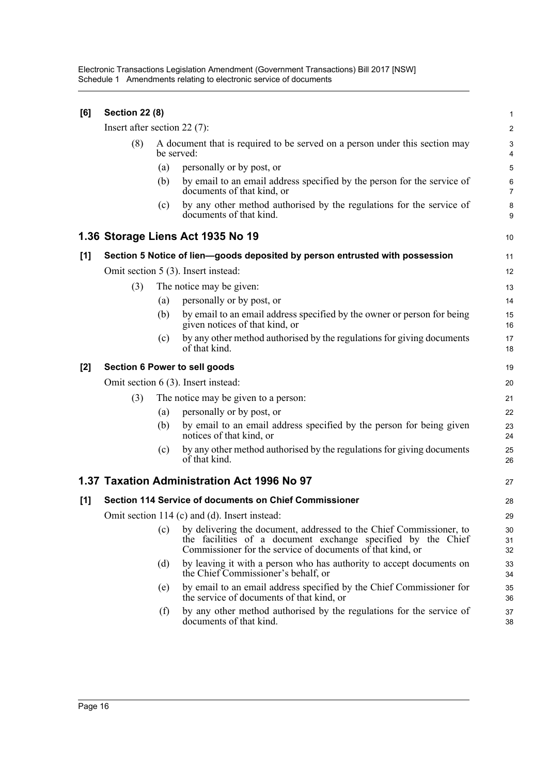| [6]   | <b>Section 22 (8)</b>                         |     |                                                                                                                                                                                                   | $\mathbf{1}$         |  |  |
|-------|-----------------------------------------------|-----|---------------------------------------------------------------------------------------------------------------------------------------------------------------------------------------------------|----------------------|--|--|
|       | Insert after section 22 $(7)$ :               |     |                                                                                                                                                                                                   | $\overline{2}$       |  |  |
|       | (8)                                           |     | A document that is required to be served on a person under this section may<br>be served:                                                                                                         |                      |  |  |
|       |                                               | (a) | personally or by post, or                                                                                                                                                                         | 5                    |  |  |
|       |                                               | (b) | by email to an email address specified by the person for the service of<br>documents of that kind, or                                                                                             | 6<br>$\overline{7}$  |  |  |
|       |                                               | (c) | by any other method authorised by the regulations for the service of<br>documents of that kind.                                                                                                   | 8<br>9               |  |  |
|       |                                               |     | 1.36 Storage Liens Act 1935 No 19                                                                                                                                                                 | 10                   |  |  |
| [1]   |                                               |     | Section 5 Notice of lien-goods deposited by person entrusted with possession                                                                                                                      | 11                   |  |  |
|       |                                               |     | Omit section 5 (3). Insert instead:                                                                                                                                                               | 12                   |  |  |
|       | (3)                                           |     | The notice may be given:                                                                                                                                                                          | 13                   |  |  |
|       |                                               | (a) | personally or by post, or                                                                                                                                                                         | 14                   |  |  |
|       |                                               | (b) | by email to an email address specified by the owner or person for being<br>given notices of that kind, or                                                                                         | 15<br>16             |  |  |
|       |                                               | (c) | by any other method authorised by the regulations for giving documents<br>of that kind.                                                                                                           | 17<br>18             |  |  |
| $[2]$ |                                               |     | Section 6 Power to sell goods                                                                                                                                                                     | 19                   |  |  |
|       |                                               |     | Omit section 6 (3). Insert instead:                                                                                                                                                               | 20                   |  |  |
|       | (3)                                           |     | The notice may be given to a person:                                                                                                                                                              | 21                   |  |  |
|       |                                               | (a) | personally or by post, or                                                                                                                                                                         | 22                   |  |  |
|       |                                               | (b) | by email to an email address specified by the person for being given<br>notices of that kind, or                                                                                                  | 23<br>24             |  |  |
|       |                                               | (c) | by any other method authorised by the regulations for giving documents<br>of that kind.                                                                                                           | 25<br>26             |  |  |
|       |                                               |     | 1.37 Taxation Administration Act 1996 No 97                                                                                                                                                       | 27                   |  |  |
| [1]   |                                               |     | Section 114 Service of documents on Chief Commissioner                                                                                                                                            | 28                   |  |  |
|       | Omit section 114 (c) and (d). Insert instead: |     |                                                                                                                                                                                                   |                      |  |  |
|       |                                               | (c) | by delivering the document, addressed to the Chief Commissioner, to<br>the facilities of a document exchange specified by the Chief<br>Commissioner for the service of documents of that kind, or | 29<br>30<br>31<br>32 |  |  |
|       |                                               | (d) | by leaving it with a person who has authority to accept documents on<br>the Chief Commissioner's behalf, or                                                                                       | 33<br>34             |  |  |
|       |                                               | (e) | by email to an email address specified by the Chief Commissioner for<br>the service of documents of that kind, or                                                                                 | 35<br>36             |  |  |
|       |                                               | (f) | by any other method authorised by the regulations for the service of<br>documents of that kind.                                                                                                   | 37<br>38             |  |  |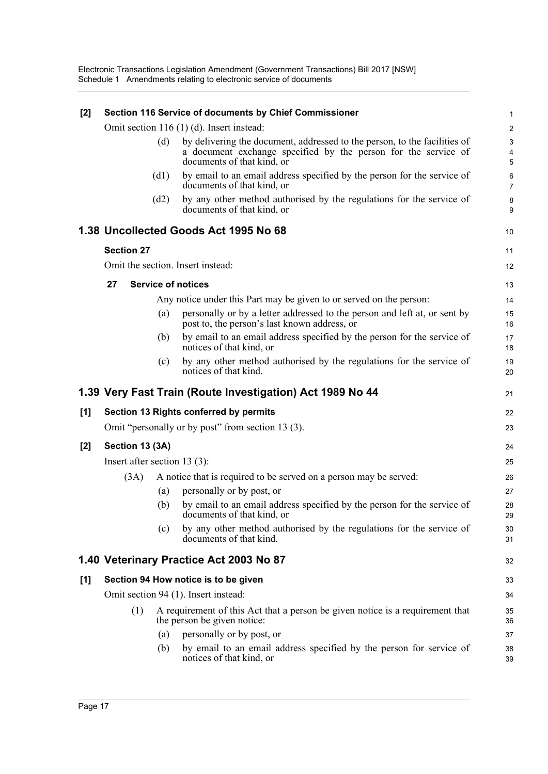| $[2]$ |                                 |      | Section 116 Service of documents by Chief Commissioner                                                                                                                    | 1                        |
|-------|---------------------------------|------|---------------------------------------------------------------------------------------------------------------------------------------------------------------------------|--------------------------|
|       |                                 |      | Omit section 116 (1) (d). Insert instead:                                                                                                                                 | $\overline{2}$           |
|       |                                 | (d)  | by delivering the document, addressed to the person, to the facilities of<br>a document exchange specified by the person for the service of<br>documents of that kind, or | 3<br>$\overline{4}$<br>5 |
|       |                                 | (d1) | by email to an email address specified by the person for the service of<br>documents of that kind, or                                                                     | 6<br>$\overline{7}$      |
|       |                                 | (d2) | by any other method authorised by the regulations for the service of<br>documents of that kind, or                                                                        | 8<br>9                   |
|       |                                 |      | 1.38 Uncollected Goods Act 1995 No 68                                                                                                                                     | 10                       |
|       | <b>Section 27</b>               |      |                                                                                                                                                                           | 11                       |
|       |                                 |      | Omit the section. Insert instead:                                                                                                                                         | 12                       |
|       | 27                              |      | <b>Service of notices</b>                                                                                                                                                 | 13                       |
|       |                                 |      | Any notice under this Part may be given to or served on the person:                                                                                                       | 14                       |
|       |                                 | (a)  | personally or by a letter addressed to the person and left at, or sent by<br>post to, the person's last known address, or                                                 | 15<br>16                 |
|       |                                 | (b)  | by email to an email address specified by the person for the service of<br>notices of that kind, or                                                                       | 17<br>18                 |
|       |                                 | (c)  | by any other method authorised by the regulations for the service of<br>notices of that kind.                                                                             | 19<br>20                 |
|       |                                 |      | 1.39 Very Fast Train (Route Investigation) Act 1989 No 44                                                                                                                 | 21                       |
| [1]   |                                 |      | Section 13 Rights conferred by permits                                                                                                                                    | 22                       |
|       |                                 |      | Omit "personally or by post" from section 13 (3).                                                                                                                         | 23                       |
| [2]   | Section 13 (3A)                 |      |                                                                                                                                                                           | 24                       |
|       | Insert after section 13 $(3)$ : |      |                                                                                                                                                                           | 25                       |
|       | (3A)                            |      | A notice that is required to be served on a person may be served:                                                                                                         | 26                       |
|       |                                 | (a)  | personally or by post, or                                                                                                                                                 | 27                       |
|       |                                 | (b)  | by email to an email address specified by the person for the service of<br>documents of that kind, or                                                                     | 28<br>29                 |
|       |                                 | (c)  | by any other method authorised by the regulations for the service of<br>documents of that kind.                                                                           | 30<br>31                 |
|       |                                 |      | 1.40 Veterinary Practice Act 2003 No 87                                                                                                                                   | 32                       |
| [1]   |                                 |      | Section 94 How notice is to be given                                                                                                                                      | 33                       |
|       |                                 |      | Omit section 94 (1). Insert instead:                                                                                                                                      | 34                       |
|       | (1)                             |      | A requirement of this Act that a person be given notice is a requirement that<br>the person be given notice:                                                              | 35<br>36                 |
|       |                                 | (a)  | personally or by post, or                                                                                                                                                 | 37                       |
|       |                                 | (b)  | by email to an email address specified by the person for service of<br>notices of that kind, or                                                                           | 38<br>39                 |
|       |                                 |      |                                                                                                                                                                           |                          |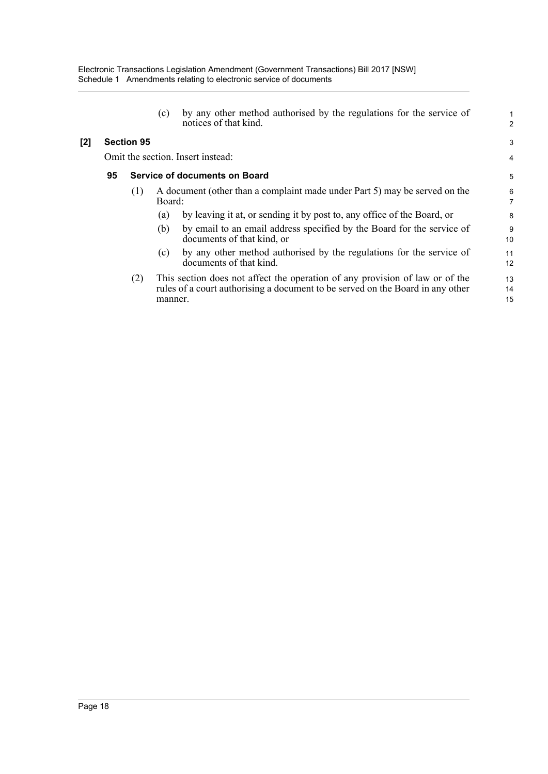| by any other method authorised by the regulations for the service of |
|----------------------------------------------------------------------|
| notices of that kind.                                                |

#### **[2] Section 95**

Omit the section. Insert instead:

#### **95 Service of documents on Board**

- (1) A document (other than a complaint made under Part 5) may be served on the Board:
	- (a) by leaving it at, or sending it by post to, any office of the Board, or
	- (b) by email to an email address specified by the Board for the service of documents of that kind, or
	- (c) by any other method authorised by the regulations for the service of documents of that kind.
- (2) This section does not affect the operation of any provision of law or of the rules of a court authorising a document to be served on the Board in any other manner.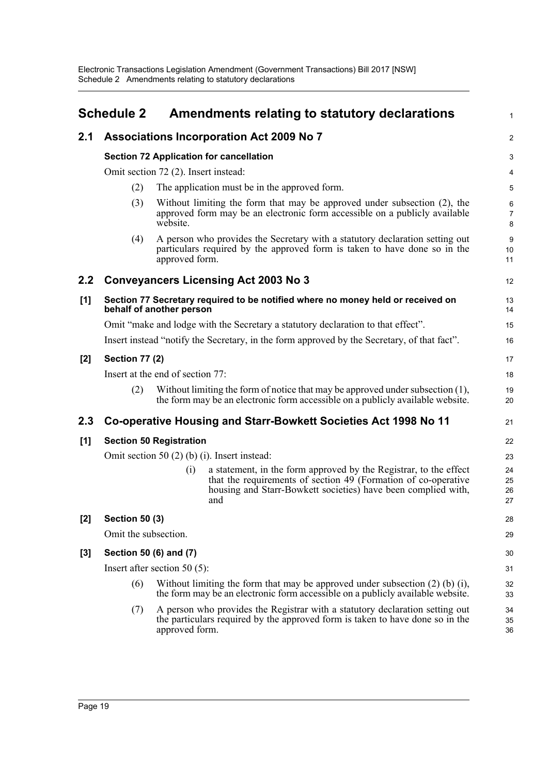<span id="page-22-0"></span>

|       | <b>Schedule 2</b>      |                                      | Amendments relating to statutory declarations                                                                                                                                                               | $\mathbf{1}$             |
|-------|------------------------|--------------------------------------|-------------------------------------------------------------------------------------------------------------------------------------------------------------------------------------------------------------|--------------------------|
| 2.1   |                        |                                      | <b>Associations Incorporation Act 2009 No 7</b>                                                                                                                                                             | 2                        |
|       |                        |                                      | <b>Section 72 Application for cancellation</b>                                                                                                                                                              | 3                        |
|       |                        | Omit section 72 (2). Insert instead: |                                                                                                                                                                                                             | 4                        |
|       | (2)                    |                                      | The application must be in the approved form.                                                                                                                                                               | $\overline{5}$           |
|       | (3)                    | website.                             | Without limiting the form that may be approved under subsection (2), the<br>approved form may be an electronic form accessible on a publicly available                                                      | 6<br>$\overline{7}$<br>8 |
|       | (4)                    | approved form.                       | A person who provides the Secretary with a statutory declaration setting out<br>particulars required by the approved form is taken to have done so in the                                                   | 9<br>10<br>11            |
| 2.2   |                        |                                      | <b>Conveyancers Licensing Act 2003 No 3</b>                                                                                                                                                                 | 12                       |
| $[1]$ |                        | behalf of another person             | Section 77 Secretary required to be notified where no money held or received on                                                                                                                             | 13<br>14                 |
|       |                        |                                      | Omit "make and lodge with the Secretary a statutory declaration to that effect".                                                                                                                            | 15                       |
|       |                        |                                      | Insert instead "notify the Secretary, in the form approved by the Secretary, of that fact".                                                                                                                 | 16                       |
| $[2]$ | <b>Section 77 (2)</b>  |                                      |                                                                                                                                                                                                             | 17                       |
|       |                        | Insert at the end of section 77:     |                                                                                                                                                                                                             | 18                       |
|       | (2)                    |                                      | Without limiting the form of notice that may be approved under subsection $(1)$ ,<br>the form may be an electronic form accessible on a publicly available website.                                         | 19<br>20                 |
| 2.3   |                        |                                      | Co-operative Housing and Starr-Bowkett Societies Act 1998 No 11                                                                                                                                             | 21                       |
| [1]   |                        | <b>Section 50 Registration</b>       |                                                                                                                                                                                                             | 22                       |
|       |                        |                                      | Omit section 50 $(2)$ (b) $(i)$ . Insert instead:                                                                                                                                                           | 23                       |
|       |                        | (i)                                  | a statement, in the form approved by the Registrar, to the effect<br>that the requirements of section 49 (Formation of co-operative<br>housing and Starr-Bowkett societies) have been complied with,<br>and | 24<br>25<br>26<br>27     |
| $[2]$ | <b>Section 50 (3)</b>  |                                      |                                                                                                                                                                                                             | 28                       |
|       | Omit the subsection.   |                                      |                                                                                                                                                                                                             | 29                       |
| [3]   | Section 50 (6) and (7) |                                      |                                                                                                                                                                                                             | 30                       |
|       |                        | Insert after section 50 $(5)$ :      |                                                                                                                                                                                                             | 31                       |
|       | (6)                    |                                      | Without limiting the form that may be approved under subsection $(2)$ (b) $(i)$ ,<br>the form may be an electronic form accessible on a publicly available website.                                         | 32<br>33                 |
|       | (7)                    | approved form.                       | A person who provides the Registrar with a statutory declaration setting out<br>the particulars required by the approved form is taken to have done so in the                                               | 34<br>35<br>36           |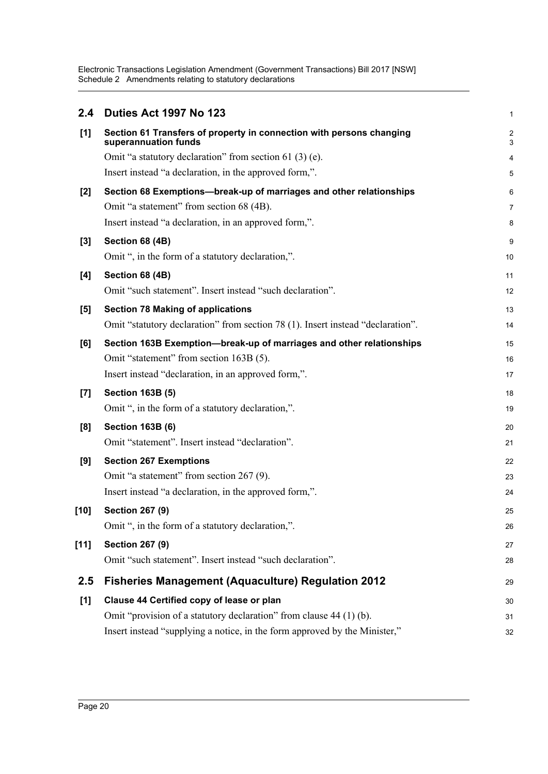Electronic Transactions Legislation Amendment (Government Transactions) Bill 2017 [NSW] Schedule 2 Amendments relating to statutory declarations

| 2.4    | Duties Act 1997 No 123                                                                       | 1                            |
|--------|----------------------------------------------------------------------------------------------|------------------------------|
| [1]    | Section 61 Transfers of property in connection with persons changing<br>superannuation funds | $\overline{\mathbf{c}}$<br>3 |
|        | Omit "a statutory declaration" from section 61 $(3)$ (e).                                    | 4                            |
|        | Insert instead "a declaration, in the approved form,".                                       | 5                            |
| $[2]$  | Section 68 Exemptions-break-up of marriages and other relationships                          | 6                            |
|        | Omit "a statement" from section 68 (4B).                                                     | 7                            |
|        | Insert instead "a declaration, in an approved form,".                                        | 8                            |
| $[3]$  | Section 68 (4B)                                                                              | 9                            |
|        | Omit ", in the form of a statutory declaration,".                                            | 10                           |
| [4]    | Section 68 (4B)                                                                              | 11                           |
|        | Omit "such statement". Insert instead "such declaration".                                    | 12                           |
| [5]    | <b>Section 78 Making of applications</b>                                                     | 13                           |
|        | Omit "statutory declaration" from section 78 (1). Insert instead "declaration".              | 14                           |
| [6]    | Section 163B Exemption-break-up of marriages and other relationships                         | 15                           |
|        | Omit "statement" from section 163B (5).                                                      | 16                           |
|        | Insert instead "declaration, in an approved form,".                                          | 17                           |
| $[7]$  | <b>Section 163B (5)</b>                                                                      | 18                           |
|        | Omit ", in the form of a statutory declaration,".                                            | 19                           |
| [8]    | <b>Section 163B (6)</b>                                                                      | 20                           |
|        | Omit "statement". Insert instead "declaration".                                              | 21                           |
| [9]    | <b>Section 267 Exemptions</b>                                                                | 22                           |
|        | Omit "a statement" from section 267 (9).                                                     | 23                           |
|        | Insert instead "a declaration, in the approved form,".                                       | 24                           |
| [10]   | <b>Section 267 (9)</b>                                                                       | 25                           |
|        | Omit ", in the form of a statutory declaration,".                                            | 26                           |
| $[11]$ | <b>Section 267 (9)</b>                                                                       | 27                           |
|        | Omit "such statement". Insert instead "such declaration".                                    | 28                           |
| 2.5    | <b>Fisheries Management (Aquaculture) Regulation 2012</b>                                    | 29                           |
| [1]    | Clause 44 Certified copy of lease or plan                                                    | 30                           |
|        | Omit "provision of a statutory declaration" from clause 44 (1) (b).                          | 31                           |
|        | Insert instead "supplying a notice, in the form approved by the Minister,"                   | 32                           |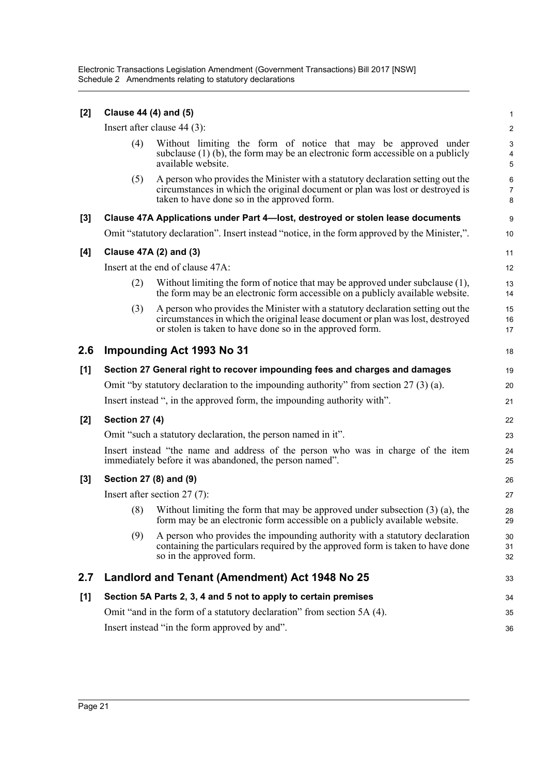Electronic Transactions Legislation Amendment (Government Transactions) Bill 2017 [NSW] Schedule 2 Amendments relating to statutory declarations

| [2] | Clause 44 (4) and (5)  |                                                                                                                                                                                                                               | $\mathbf{1}$             |
|-----|------------------------|-------------------------------------------------------------------------------------------------------------------------------------------------------------------------------------------------------------------------------|--------------------------|
|     |                        | Insert after clause $44$ (3):                                                                                                                                                                                                 | $\overline{c}$           |
|     | (4)                    | Without limiting the form of notice that may be approved under<br>subclause $(1)$ (b), the form may be an electronic form accessible on a publicly<br>available website.                                                      | $\mathbf{3}$<br>4<br>5   |
|     | (5)                    | A person who provides the Minister with a statutory declaration setting out the<br>circumstances in which the original document or plan was lost or destroyed is<br>taken to have done so in the approved form.               | 6<br>$\overline{7}$<br>8 |
| [3] |                        | Clause 47A Applications under Part 4-lost, destroyed or stolen lease documents                                                                                                                                                | 9                        |
|     |                        | Omit "statutory declaration". Insert instead "notice, in the form approved by the Minister,".                                                                                                                                 | 10                       |
| [4] |                        | Clause 47A (2) and (3)                                                                                                                                                                                                        | 11                       |
|     |                        | Insert at the end of clause 47A:                                                                                                                                                                                              | 12                       |
|     | (2)                    | Without limiting the form of notice that may be approved under subclause (1),<br>the form may be an electronic form accessible on a publicly available website.                                                               | 13<br>14                 |
|     | (3)                    | A person who provides the Minister with a statutory declaration setting out the<br>circumstances in which the original lease document or plan was lost, destroyed<br>or stolen is taken to have done so in the approved form. | 15<br>16<br>17           |
| 2.6 |                        | <b>Impounding Act 1993 No 31</b>                                                                                                                                                                                              | 18                       |
| [1] |                        | Section 27 General right to recover impounding fees and charges and damages                                                                                                                                                   | 19                       |
|     |                        | Omit "by statutory declaration to the impounding authority" from section $27(3)$ (a).                                                                                                                                         | 20                       |
|     |                        | Insert instead ", in the approved form, the impounding authority with".                                                                                                                                                       | 21                       |
| [2] | <b>Section 27 (4)</b>  |                                                                                                                                                                                                                               | 22                       |
|     |                        | Omit "such a statutory declaration, the person named in it".                                                                                                                                                                  | 23                       |
|     |                        | Insert instead "the name and address of the person who was in charge of the item<br>immediately before it was abandoned, the person named".                                                                                   | 24<br>25                 |
| [3] | Section 27 (8) and (9) |                                                                                                                                                                                                                               | 26                       |
|     |                        | Insert after section $27(7)$ :                                                                                                                                                                                                | 27                       |
|     | (8)                    | Without limiting the form that may be approved under subsection $(3)$ (a), the<br>form may be an electronic form accessible on a publicty available website.                                                                  | 28<br>29                 |
|     | (9)                    | A person who provides the impounding authority with a statutory declaration<br>containing the particulars required by the approved form is taken to have done<br>so in the approved form.                                     | 30<br>31<br>32           |
| 2.7 |                        | Landlord and Tenant (Amendment) Act 1948 No 25                                                                                                                                                                                | 33                       |
| [1] |                        | Section 5A Parts 2, 3, 4 and 5 not to apply to certain premises                                                                                                                                                               | 34                       |
|     |                        | Omit "and in the form of a statutory declaration" from section 5A (4).                                                                                                                                                        | 35                       |
|     |                        | Insert instead "in the form approved by and".                                                                                                                                                                                 | 36                       |
|     |                        |                                                                                                                                                                                                                               |                          |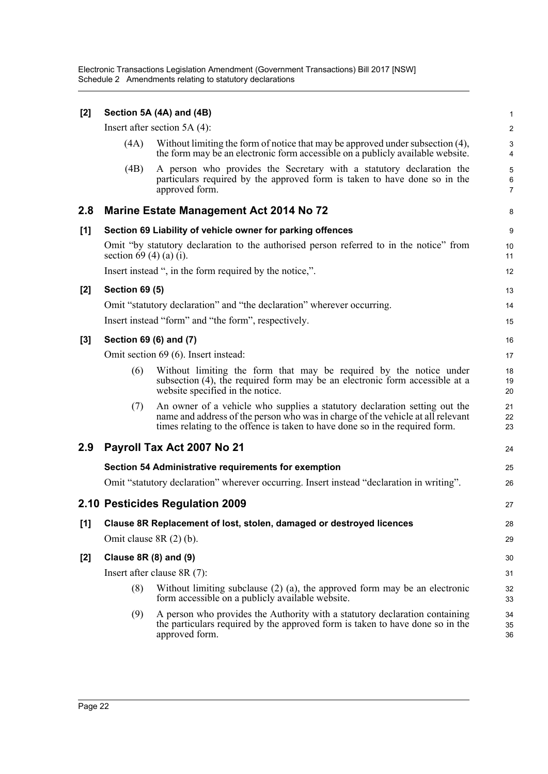Electronic Transactions Legislation Amendment (Government Transactions) Bill 2017 [NSW] Schedule 2 Amendments relating to statutory declarations

| [2]   |                          | Section 5A (4A) and (4B)                                                                                                                                                                                                                      | $\mathbf{1}$                            |
|-------|--------------------------|-----------------------------------------------------------------------------------------------------------------------------------------------------------------------------------------------------------------------------------------------|-----------------------------------------|
|       |                          | Insert after section $5A(4)$ :                                                                                                                                                                                                                | 2                                       |
|       | (4A)                     | Without limiting the form of notice that may be approved under subsection (4),<br>the form may be an electronic form accessible on a publicly available website.                                                                              | 3<br>4                                  |
|       | (4B)                     | A person who provides the Secretary with a statutory declaration the<br>particulars required by the approved form is taken to have done so in the<br>approved form.                                                                           | $\sqrt{5}$<br>$\,6\,$<br>$\overline{7}$ |
| 2.8   |                          | <b>Marine Estate Management Act 2014 No 72</b>                                                                                                                                                                                                | 8                                       |
| [1]   |                          | Section 69 Liability of vehicle owner for parking offences                                                                                                                                                                                    | 9                                       |
|       | section 69 (4) (a) (i).  | Omit "by statutory declaration to the authorised person referred to in the notice" from                                                                                                                                                       | 10<br>11                                |
|       |                          | Insert instead ", in the form required by the notice,".                                                                                                                                                                                       | 12                                      |
| $[2]$ | <b>Section 69 (5)</b>    |                                                                                                                                                                                                                                               | 13                                      |
|       |                          | Omit "statutory declaration" and "the declaration" wherever occurring.                                                                                                                                                                        | 14                                      |
|       |                          | Insert instead "form" and "the form", respectively.                                                                                                                                                                                           | 15                                      |
| $[3]$ | Section 69 (6) and (7)   |                                                                                                                                                                                                                                               | 16                                      |
|       |                          | Omit section 69 (6). Insert instead:                                                                                                                                                                                                          | 17                                      |
|       | (6)                      | Without limiting the form that may be required by the notice under<br>subsection (4), the required form may be an electronic form accessible at a<br>website specified in the notice.                                                         | 18<br>19<br>20                          |
|       | (7)                      | An owner of a vehicle who supplies a statutory declaration setting out the<br>name and address of the person who was in charge of the vehicle at all relevant<br>times relating to the offence is taken to have done so in the required form. | 21<br>22<br>23                          |
| 2.9   |                          | Payroll Tax Act 2007 No 21                                                                                                                                                                                                                    | 24                                      |
|       |                          | Section 54 Administrative requirements for exemption                                                                                                                                                                                          | 25                                      |
|       |                          | Omit "statutory declaration" wherever occurring. Insert instead "declaration in writing".                                                                                                                                                     | 26                                      |
|       |                          | 2.10 Pesticides Regulation 2009                                                                                                                                                                                                               | 27                                      |
| [1]   |                          | Clause 8R Replacement of lost, stolen, damaged or destroyed licences                                                                                                                                                                          | 28                                      |
|       | Omit clause $8R(2)$ (b). |                                                                                                                                                                                                                                               | 29                                      |
| $[2]$ | Clause $8R(8)$ and $(9)$ |                                                                                                                                                                                                                                               | 30                                      |
|       |                          | Insert after clause $8R(7)$ :                                                                                                                                                                                                                 | 31                                      |
|       | (8)                      | Without limiting subclause $(2)$ $(a)$ , the approved form may be an electronic<br>form accessible on a publicly available website.                                                                                                           | 32<br>33                                |
|       | (9)                      | A person who provides the Authority with a statutory declaration containing<br>the particulars required by the approved form is taken to have done so in the<br>approved form.                                                                | 34<br>35<br>36                          |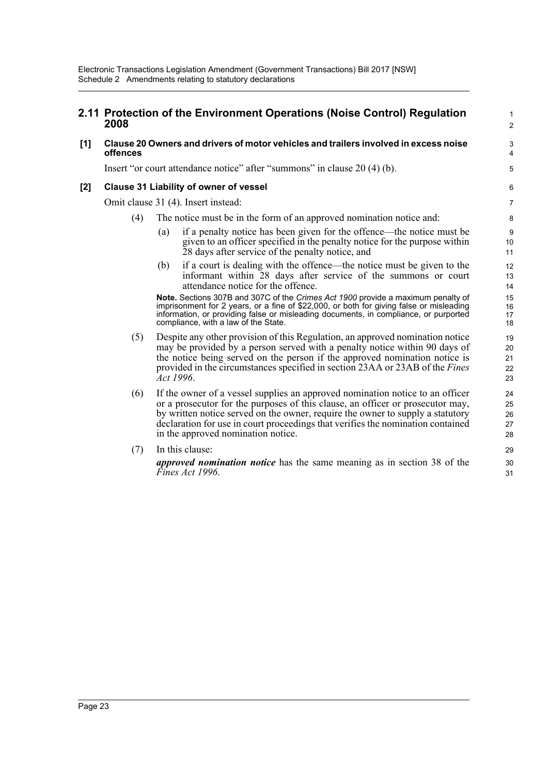compliance, with a law of the State.

#### **2.11 Protection of the Environment Operations (Noise Control) Regulation 2008 [1] Clause 20 Owners and drivers of motor vehicles and trailers involved in excess noise offences** Insert "or court attendance notice" after "summons" in clause 20 (4) (b). **[2] Clause 31 Liability of owner of vessel** Omit clause 31 (4). Insert instead: (4) The notice must be in the form of an approved nomination notice and: (a) if a penalty notice has been given for the offence—the notice must be given to an officer specified in the penalty notice for the purpose within 28 days after service of the penalty notice, and (b) if a court is dealing with the offence—the notice must be given to the informant within 28 days after service of the summons or court attendance notice for the offence. **Note.** Sections 307B and 307C of the *Crimes Act 1900* provide a maximum penalty of imprisonment for 2 years, or a fine of \$22,000, or both for giving false or misleading information, or providing false or misleading documents, in compliance, or purported 1  $\overline{2}$ 3 4 5 6 7 8 9 10 11 12 13 14 15 16 17

(5) Despite any other provision of this Regulation, an approved nomination notice may be provided by a person served with a penalty notice within 90 days of the notice being served on the person if the approved nomination notice is provided in the circumstances specified in section 23AA or 23AB of the *Fines Act 1996*.

- (6) If the owner of a vessel supplies an approved nomination notice to an officer or a prosecutor for the purposes of this clause, an officer or prosecutor may, by written notice served on the owner, require the owner to supply a statutory declaration for use in court proceedings that verifies the nomination contained in the approved nomination notice.
- (7) In this clause: *approved nomination notice* has the same meaning as in section 38 of the *Fines Act 1996*.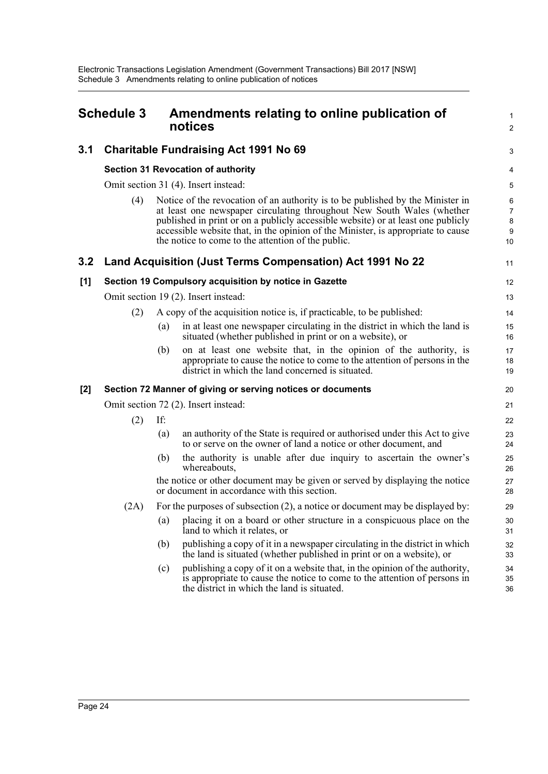<span id="page-27-0"></span>

| <b>Schedule 3</b> |                                                        |     | Amendments relating to online publication of<br>notices                                                                                                                                                                                                                                                                                                                                | $\mathbf{1}$<br>$\overline{2}$      |
|-------------------|--------------------------------------------------------|-----|----------------------------------------------------------------------------------------------------------------------------------------------------------------------------------------------------------------------------------------------------------------------------------------------------------------------------------------------------------------------------------------|-------------------------------------|
| 3.1               |                                                        |     | <b>Charitable Fundraising Act 1991 No 69</b>                                                                                                                                                                                                                                                                                                                                           | 3                                   |
|                   |                                                        |     | <b>Section 31 Revocation of authority</b>                                                                                                                                                                                                                                                                                                                                              | 4                                   |
|                   |                                                        |     | Omit section 31 (4). Insert instead:                                                                                                                                                                                                                                                                                                                                                   | 5                                   |
|                   | (4)                                                    |     | Notice of the revocation of an authority is to be published by the Minister in<br>at least one newspaper circulating throughout New South Wales (whether<br>published in print or on a publicly accessible website) or at least one publicly<br>accessible website that, in the opinion of the Minister, is appropriate to cause<br>the notice to come to the attention of the public. | 6<br>$\overline{7}$<br>8<br>9<br>10 |
| 3.2               |                                                        |     | Land Acquisition (Just Terms Compensation) Act 1991 No 22                                                                                                                                                                                                                                                                                                                              | 11                                  |
| [1]               | Section 19 Compulsory acquisition by notice in Gazette |     | 12                                                                                                                                                                                                                                                                                                                                                                                     |                                     |
|                   | Omit section 19 (2). Insert instead:                   |     |                                                                                                                                                                                                                                                                                                                                                                                        |                                     |
|                   | (2)                                                    |     | A copy of the acquisition notice is, if practicable, to be published:                                                                                                                                                                                                                                                                                                                  | 14                                  |
|                   |                                                        | (a) | in at least one newspaper circulating in the district in which the land is<br>situated (whether published in print or on a website), or                                                                                                                                                                                                                                                | 15<br>16                            |
|                   |                                                        | (b) | on at least one website that, in the opinion of the authority, is<br>appropriate to cause the notice to come to the attention of persons in the<br>district in which the land concerned is situated.                                                                                                                                                                                   | 17<br>18<br>19                      |
| [2]               |                                                        |     | Section 72 Manner of giving or serving notices or documents                                                                                                                                                                                                                                                                                                                            | 20                                  |
|                   |                                                        |     | Omit section 72 (2). Insert instead:                                                                                                                                                                                                                                                                                                                                                   | 21                                  |
|                   | (2)                                                    | If: |                                                                                                                                                                                                                                                                                                                                                                                        | 22                                  |
|                   |                                                        | (a) | an authority of the State is required or authorised under this Act to give<br>to or serve on the owner of land a notice or other document, and                                                                                                                                                                                                                                         | 23<br>24                            |
|                   |                                                        | (b) | the authority is unable after due inquiry to ascertain the owner's<br>whereabouts,                                                                                                                                                                                                                                                                                                     | 25<br>26                            |
|                   |                                                        |     | the notice or other document may be given or served by displaying the notice<br>or document in accordance with this section.                                                                                                                                                                                                                                                           | 27<br>28                            |
|                   | (2A)                                                   |     | For the purposes of subsection $(2)$ , a notice or document may be displayed by:                                                                                                                                                                                                                                                                                                       | 29                                  |
|                   |                                                        | (a) | placing it on a board or other structure in a conspicuous place on the<br>land to which it relates, or                                                                                                                                                                                                                                                                                 | 30<br>31                            |
|                   |                                                        | (b) | publishing a copy of it in a newspaper circulating in the district in which<br>the land is situated (whether published in print or on a website), or                                                                                                                                                                                                                                   | 32<br>33                            |
|                   |                                                        | (c) | publishing a copy of it on a website that, in the opinion of the authority,<br>is appropriate to cause the notice to come to the attention of persons in                                                                                                                                                                                                                               | 34<br>35                            |

the district in which the land is situated.

36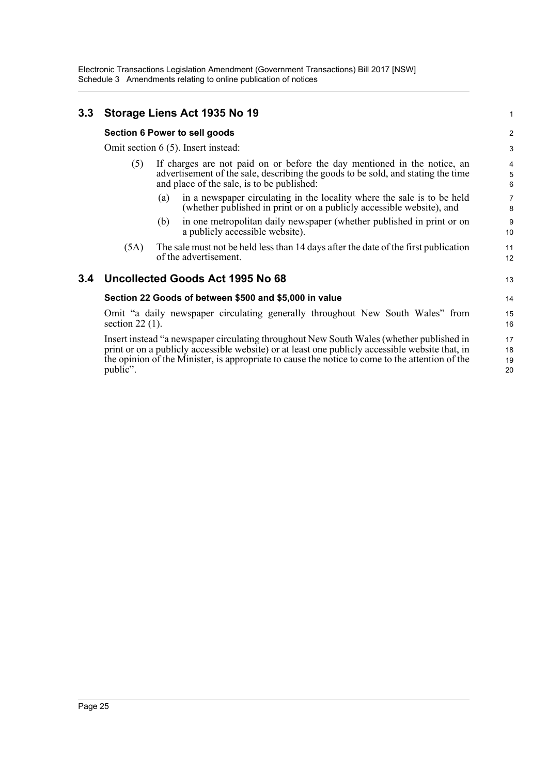### **3.3 Storage Liens Act 1935 No 19**

#### **Section 6 Power to sell goods**

Omit section 6 (5). Insert instead:

- (5) If charges are not paid on or before the day mentioned in the notice, an advertisement of the sale, describing the goods to be sold, and stating the time and place of the sale, is to be published:
	- (a) in a newspaper circulating in the locality where the sale is to be held (whether published in print or on a publicly accessible website), and
	- (b) in one metropolitan daily newspaper (whether published in print or on a publicly accessible website).
- (5A) The sale must not be held less than 14 days after the date of the first publication of the advertisement.

### **3.4 Uncollected Goods Act 1995 No 68**

#### **Section 22 Goods of between \$500 and \$5,000 in value**

Omit "a daily newspaper circulating generally throughout New South Wales" from section  $22(1)$ .

Insert instead "a newspaper circulating throughout New South Wales (whether published in print or on a publicly accessible website) or at least one publicly accessible website that, in the opinion of the Minister, is appropriate to cause the notice to come to the attention of the public".

20

13

14 15

1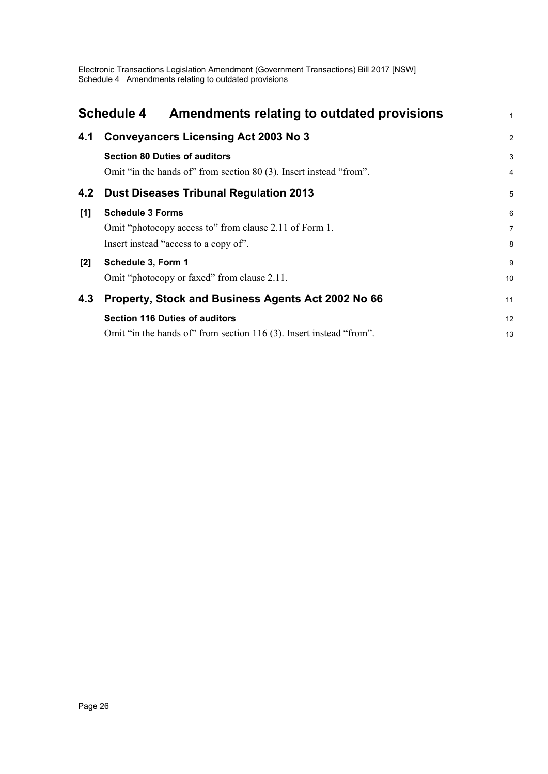<span id="page-29-0"></span>

|     | <b>Schedule 4</b><br>Amendments relating to outdated provisions                                                            | 1                   |
|-----|----------------------------------------------------------------------------------------------------------------------------|---------------------|
| 4.1 | <b>Conveyancers Licensing Act 2003 No 3</b>                                                                                | $\overline{2}$      |
|     | <b>Section 80 Duties of auditors</b><br>Omit "in the hands of" from section 80 (3). Insert instead "from".                 | 3<br>$\overline{4}$ |
| 4.2 | <b>Dust Diseases Tribunal Regulation 2013</b>                                                                              | 5                   |
| [1] | <b>Schedule 3 Forms</b><br>Omit "photocopy access to" from clause 2.11 of Form 1.<br>Insert instead "access to a copy of". | 6<br>7<br>8         |
| [2] | Schedule 3, Form 1<br>Omit "photocopy or faxed" from clause 2.11.                                                          | 9<br>10             |
| 4.3 | Property, Stock and Business Agents Act 2002 No 66                                                                         | 11                  |
|     | <b>Section 116 Duties of auditors</b><br>Omit "in the hands of" from section 116 (3). Insert instead "from".               | 12<br>13            |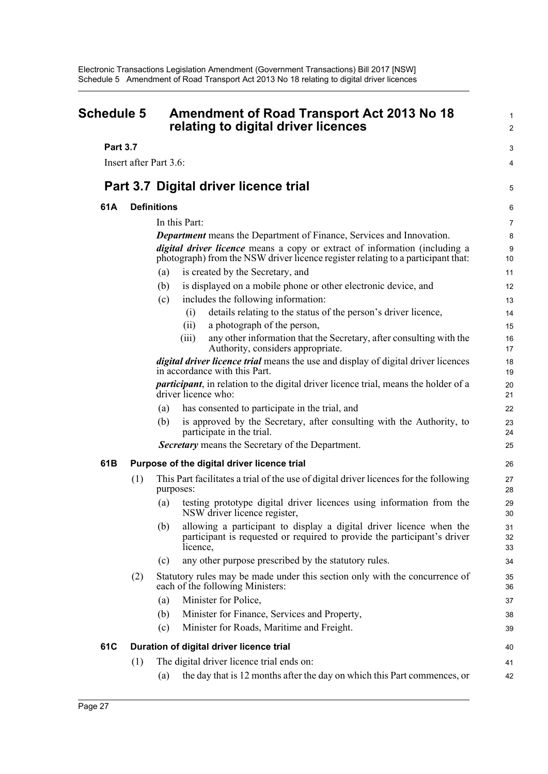<span id="page-30-0"></span>

| <b>Schedule 5</b> |     | <b>Amendment of Road Transport Act 2013 No 18</b><br>relating to digital driver licences                                                                                                                                                      |                |
|-------------------|-----|-----------------------------------------------------------------------------------------------------------------------------------------------------------------------------------------------------------------------------------------------|----------------|
| <b>Part 3.7</b>   |     |                                                                                                                                                                                                                                               |                |
|                   |     | Insert after Part 3.6:                                                                                                                                                                                                                        | 3<br>4         |
|                   |     |                                                                                                                                                                                                                                               |                |
|                   |     | Part 3.7 Digital driver licence trial                                                                                                                                                                                                         | 5              |
| 61A               |     | <b>Definitions</b>                                                                                                                                                                                                                            | 6              |
|                   |     | In this Part:                                                                                                                                                                                                                                 | 7              |
|                   |     | <b>Department</b> means the Department of Finance, Services and Innovation.<br>digital driver licence means a copy or extract of information (including a<br>photograph) from the NSW driver licence register relating to a participant that: | 8<br>9<br>10   |
|                   |     | is created by the Secretary, and<br>(a)                                                                                                                                                                                                       | 11             |
|                   |     | is displayed on a mobile phone or other electronic device, and<br>(b)                                                                                                                                                                         | 12             |
|                   |     | includes the following information:<br>(c)                                                                                                                                                                                                    | 13             |
|                   |     | details relating to the status of the person's driver licence,<br>(i)                                                                                                                                                                         | 14             |
|                   |     | a photograph of the person,<br>(ii)                                                                                                                                                                                                           | 15             |
|                   |     | any other information that the Secretary, after consulting with the<br>(iii)<br>Authority, considers appropriate.                                                                                                                             | 16<br>17       |
|                   |     | <i>digital driver licence trial</i> means the use and display of digital driver licences<br>in accordance with this Part.                                                                                                                     | 18<br>19       |
|                   |     | <i>participant</i> , in relation to the digital driver licence trial, means the holder of a<br>driver licence who:                                                                                                                            | 20<br>21       |
|                   |     | has consented to participate in the trial, and<br>(a)                                                                                                                                                                                         | 22             |
|                   |     | is approved by the Secretary, after consulting with the Authority, to<br>(b)<br>participate in the trial.                                                                                                                                     | 23<br>24       |
|                   |     | Secretary means the Secretary of the Department.                                                                                                                                                                                              | 25             |
| 61B               |     | Purpose of the digital driver licence trial                                                                                                                                                                                                   | 26             |
|                   | (1) | This Part facilitates a trial of the use of digital driver licences for the following<br>purposes:                                                                                                                                            | 27<br>28       |
|                   |     | testing prototype digital driver licences using information from the<br>(a)<br>NSW driver licence register,                                                                                                                                   | 29<br>30       |
|                   |     | allowing a participant to display a digital driver licence when the<br>(b)<br>participant is requested or required to provide the participant's driver<br>licence,                                                                            | 31<br>32<br>33 |
|                   |     | any other purpose prescribed by the statutory rules.<br>(c)                                                                                                                                                                                   | 34             |
|                   | (2) | Statutory rules may be made under this section only with the concurrence of<br>each of the following Ministers:                                                                                                                               | 35<br>36       |
|                   |     | Minister for Police,<br>(a)                                                                                                                                                                                                                   | 37             |
|                   |     | Minister for Finance, Services and Property,<br>(b)                                                                                                                                                                                           | 38             |
|                   |     | Minister for Roads, Maritime and Freight.<br>(c)                                                                                                                                                                                              | 39             |
| 61C               |     | Duration of digital driver licence trial                                                                                                                                                                                                      | 40             |
|                   | (1) | The digital driver licence trial ends on:                                                                                                                                                                                                     | 41             |
|                   |     | the day that is 12 months after the day on which this Part commences, or<br>(a)                                                                                                                                                               | 42             |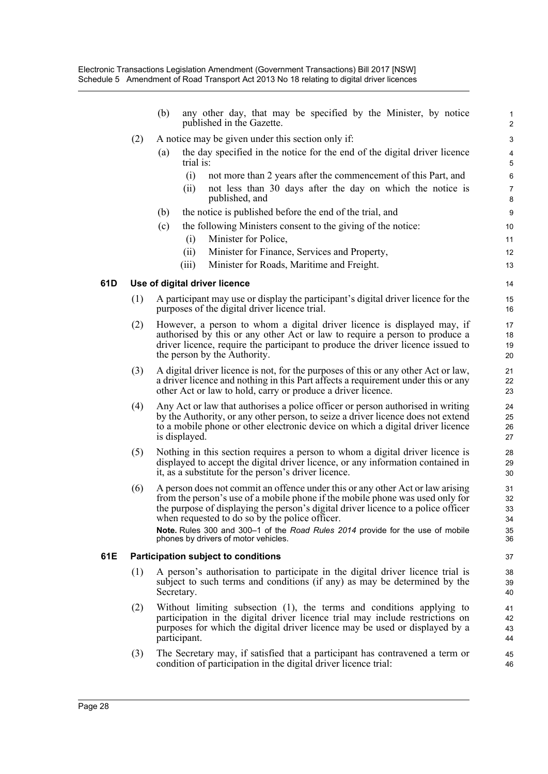|     |     | any other day, that may be specified by the Minister, by notice<br>(b)<br>published in the Gazette.                                                                                                                                                                                                                                                                                                                              | 1<br>$\overline{\mathbf{c}}$     |  |  |  |
|-----|-----|----------------------------------------------------------------------------------------------------------------------------------------------------------------------------------------------------------------------------------------------------------------------------------------------------------------------------------------------------------------------------------------------------------------------------------|----------------------------------|--|--|--|
|     | (2) | A notice may be given under this section only if:                                                                                                                                                                                                                                                                                                                                                                                | 3                                |  |  |  |
|     |     | the day specified in the notice for the end of the digital driver licence<br>(a)<br>trial is:                                                                                                                                                                                                                                                                                                                                    | $\overline{4}$<br>5              |  |  |  |
|     |     | (i)<br>not more than 2 years after the commencement of this Part, and                                                                                                                                                                                                                                                                                                                                                            | 6                                |  |  |  |
|     |     | not less than 30 days after the day on which the notice is<br>(ii)<br>published, and                                                                                                                                                                                                                                                                                                                                             | $\overline{7}$<br>8              |  |  |  |
|     |     | the notice is published before the end of the trial, and<br>(b)                                                                                                                                                                                                                                                                                                                                                                  | 9                                |  |  |  |
|     |     | (c)<br>the following Ministers consent to the giving of the notice:<br>Minister for Police,<br>(i)                                                                                                                                                                                                                                                                                                                               | 10<br>11                         |  |  |  |
|     |     | Minister for Finance, Services and Property,<br>(ii)                                                                                                                                                                                                                                                                                                                                                                             | 12                               |  |  |  |
|     |     | (iii)<br>Minister for Roads, Maritime and Freight.                                                                                                                                                                                                                                                                                                                                                                               | 13                               |  |  |  |
| 61D |     | Use of digital driver licence                                                                                                                                                                                                                                                                                                                                                                                                    | 14                               |  |  |  |
|     | (1) | A participant may use or display the participant's digital driver licence for the<br>purposes of the digital driver licence trial.                                                                                                                                                                                                                                                                                               | 15<br>16                         |  |  |  |
|     | (2) | However, a person to whom a digital driver licence is displayed may, if<br>authorised by this or any other Act or law to require a person to produce a<br>driver licence, require the participant to produce the driver licence issued to<br>the person by the Authority.                                                                                                                                                        | 17<br>18<br>19<br>20             |  |  |  |
|     | (3) | A digital driver licence is not, for the purposes of this or any other Act or law,<br>a driver licence and nothing in this Part affects a requirement under this or any<br>other Act or law to hold, carry or produce a driver licence.                                                                                                                                                                                          | 21<br>22<br>23                   |  |  |  |
|     | (4) | Any Act or law that authorises a police officer or person authorised in writing<br>by the Authority, or any other person, to seize a driver licence does not extend<br>to a mobile phone or other electronic device on which a digital driver licence<br>is displayed.                                                                                                                                                           | 24<br>25<br>26<br>27             |  |  |  |
|     | (5) | Nothing in this section requires a person to whom a digital driver licence is<br>displayed to accept the digital driver licence, or any information contained in<br>it, as a substitute for the person's driver licence.                                                                                                                                                                                                         | 28<br>29<br>30                   |  |  |  |
|     | (6) | A person does not commit an offence under this or any other Act or law arising<br>from the person's use of a mobile phone if the mobile phone was used only for<br>the purpose of displaying the person's digital driver licence to a police officer<br>when requested to do so by the police officer.<br>Note. Rules 300 and 300-1 of the Road Rules 2014 provide for the use of mobile<br>phones by drivers of motor vehicles. | 31<br>32<br>33<br>34<br>35<br>36 |  |  |  |
| 61E |     | Participation subject to conditions                                                                                                                                                                                                                                                                                                                                                                                              |                                  |  |  |  |
|     | (1) | A person's authorisation to participate in the digital driver licence trial is<br>subject to such terms and conditions (if any) as may be determined by the<br>Secretary.                                                                                                                                                                                                                                                        | 38<br>39<br>40                   |  |  |  |
|     | (2) | Without limiting subsection (1), the terms and conditions applying to<br>participation in the digital driver licence trial may include restrictions on<br>purposes for which the digital driver licence may be used or displayed by a<br>participant.                                                                                                                                                                            | 41<br>42<br>43<br>44             |  |  |  |
|     | (3) | The Secretary may, if satisfied that a participant has contravened a term or<br>condition of participation in the digital driver licence trial:                                                                                                                                                                                                                                                                                  | 45<br>46                         |  |  |  |
|     |     |                                                                                                                                                                                                                                                                                                                                                                                                                                  |                                  |  |  |  |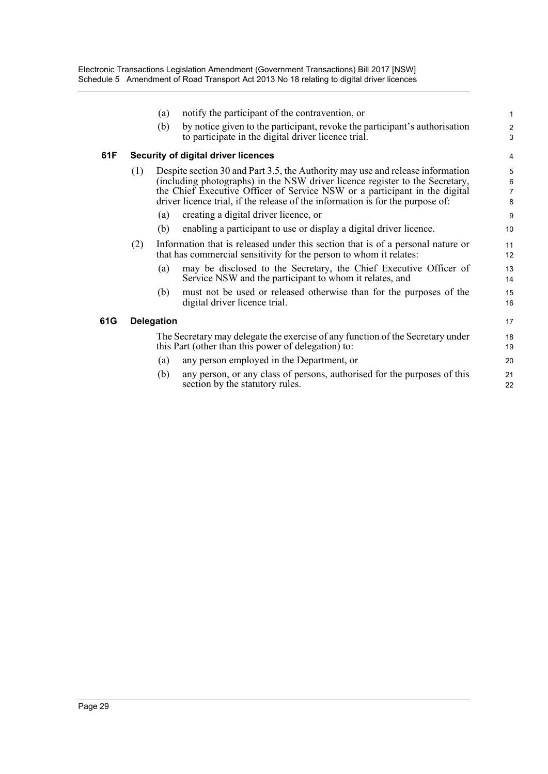|     |                                            | (a)                                                                                                                                   | notify the participant of the contravention, or                                                                                                                                                                                                                                                                                | $\mathbf{1}$                        |  |
|-----|--------------------------------------------|---------------------------------------------------------------------------------------------------------------------------------------|--------------------------------------------------------------------------------------------------------------------------------------------------------------------------------------------------------------------------------------------------------------------------------------------------------------------------------|-------------------------------------|--|
|     |                                            | (b)                                                                                                                                   | by notice given to the participant, revoke the participant's authorisation<br>to participate in the digital driver licence trial.                                                                                                                                                                                              | $\boldsymbol{2}$<br>3               |  |
| 61F | <b>Security of digital driver licences</b> |                                                                                                                                       |                                                                                                                                                                                                                                                                                                                                |                                     |  |
|     | (1)                                        |                                                                                                                                       | Despite section 30 and Part 3.5, the Authority may use and release information<br>(including photographs) in the NSW driver licence register to the Secretary,<br>the Chief Executive Officer of Service NSW or a participant in the digital<br>driver licence trial, if the release of the information is for the purpose of: | 5<br>$\,6\,$<br>$\overline{7}$<br>8 |  |
|     |                                            | (a)                                                                                                                                   | creating a digital driver licence, or                                                                                                                                                                                                                                                                                          | 9                                   |  |
|     |                                            | (b)                                                                                                                                   | enabling a participant to use or display a digital driver licence.                                                                                                                                                                                                                                                             | 10                                  |  |
|     | (2)                                        |                                                                                                                                       | Information that is released under this section that is of a personal nature or<br>that has commercial sensitivity for the person to whom it relates:                                                                                                                                                                          | 11<br>12                            |  |
|     |                                            | (a)                                                                                                                                   | may be disclosed to the Secretary, the Chief Executive Officer of<br>Service NSW and the participant to whom it relates, and                                                                                                                                                                                                   | 13<br>14                            |  |
|     |                                            | (b)                                                                                                                                   | must not be used or released otherwise than for the purposes of the<br>digital driver licence trial.                                                                                                                                                                                                                           | 15<br>16                            |  |
| 61G | <b>Delegation</b>                          |                                                                                                                                       |                                                                                                                                                                                                                                                                                                                                | 17                                  |  |
|     |                                            | The Secretary may delegate the exercise of any function of the Secretary under<br>this Part (other than this power of delegation) to: |                                                                                                                                                                                                                                                                                                                                | 18<br>19                            |  |
|     |                                            | (a)                                                                                                                                   | any person employed in the Department, or                                                                                                                                                                                                                                                                                      | 20                                  |  |
|     |                                            | (b)                                                                                                                                   | any person, or any class of persons, authorised for the purposes of this<br>section by the statutory rules.                                                                                                                                                                                                                    | 21<br>22                            |  |